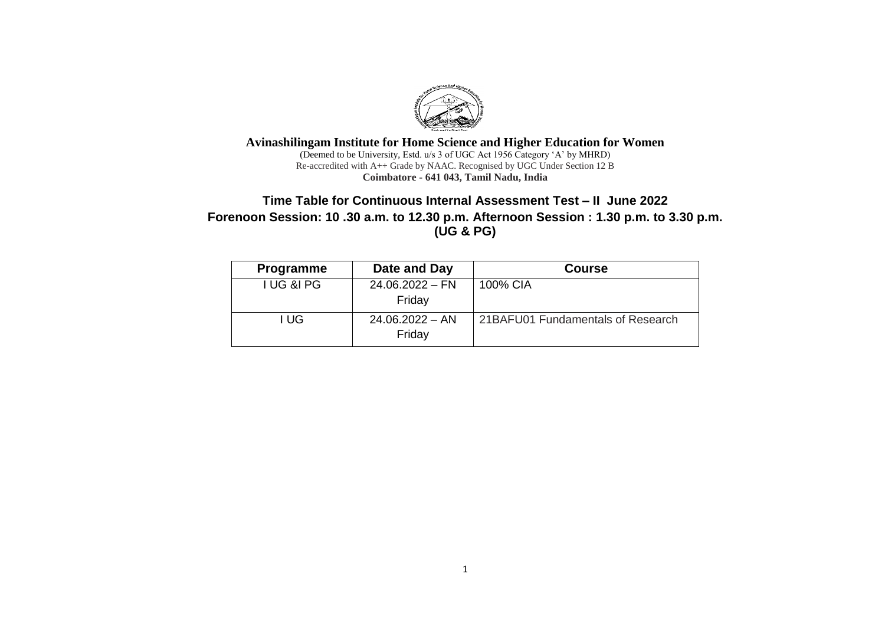

**Avinashilingam Institute for Home Science and Higher Education for Women** (Deemed to be University, Estd. u/s 3 of UGC Act 1956 Category 'A' by MHRD) Re-accredited with A++ Grade by NAAC. Recognised by UGC Under Section 12 B **Coimbatore - 641 043, Tamil Nadu, India**

# **Time Table for Continuous Internal Assessment Test – II June 2022 Forenoon Session: 10 .30 a.m. to 12.30 p.m. Afternoon Session : 1.30 p.m. to 3.30 p.m. (UG & PG)**

| <b>Programme</b>      | Date and Day                | <b>Course</b>                     |
|-----------------------|-----------------------------|-----------------------------------|
| <b>I UG &amp;I PG</b> | $24.06.2022 - FN$           | 100% CIA                          |
|                       | Friday                      |                                   |
| ∣ UG                  | $24.06.2022 - AN$<br>Friday | 21BAFU01 Fundamentals of Research |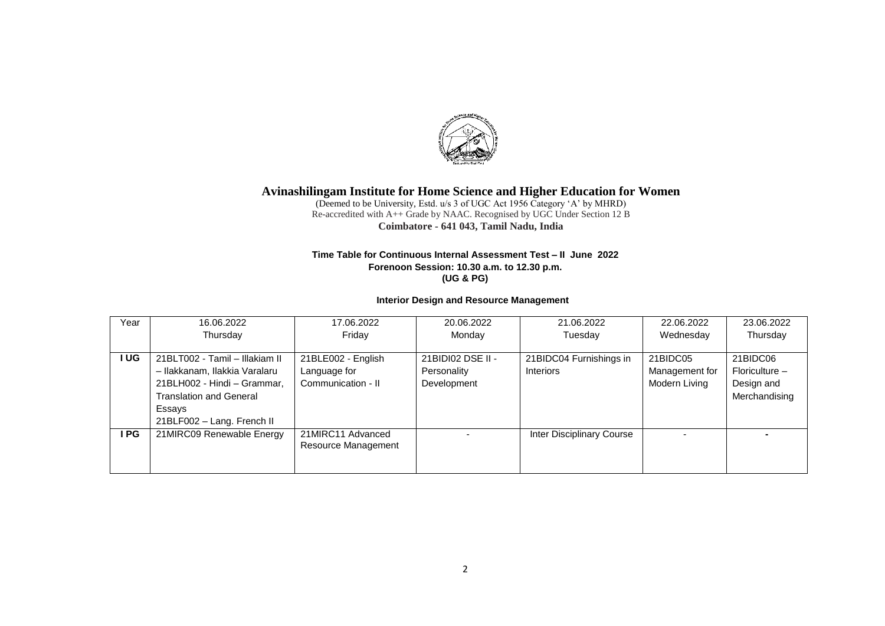

(Deemed to be University, Estd. u/s 3 of UGC Act 1956 Category 'A' by MHRD) Re-accredited with A++ Grade by NAAC. Recognised by UGC Under Section 12 B **Coimbatore - 641 043, Tamil Nadu, India**

#### **Time Table for Continuous Internal Assessment Test – II June 2022 Forenoon Session: 10.30 a.m. to 12.30 p.m. (UG & PG)**

### **Interior Design and Resource Management**

| Year  | 16.06.2022                     | 17.06.2022          | 20.06.2022        | 21.06.2022                | 22.06.2022     | 23.06.2022     |
|-------|--------------------------------|---------------------|-------------------|---------------------------|----------------|----------------|
|       | Thursday                       | Fridav              | Monday            | Tuesday                   | Wednesday      | Thursday       |
|       |                                |                     |                   |                           |                |                |
| I UG  | 21BLT002 - Tamil - Illakiam II | 21BLE002 - English  | 21BIDI02 DSE II - | 21BIDC04 Furnishings in   | 21BIDC05       | 21BIDC06       |
|       | - Ilakkanam, Ilakkia Varalaru  | Language for        | Personality       | <b>Interiors</b>          | Management for | Floriculture - |
|       | 21BLH002 - Hindi - Grammar,    | Communication - II  | Development       |                           | Modern Living  | Design and     |
|       | <b>Translation and General</b> |                     |                   |                           |                | Merchandising  |
|       | Essays                         |                     |                   |                           |                |                |
|       | 21BLF002 - Lang. French II     |                     |                   |                           |                |                |
| I PG. | 21MIRC09 Renewable Energy      | 21MIRC11 Advanced   |                   | Inter Disciplinary Course |                |                |
|       |                                | Resource Management |                   |                           |                |                |
|       |                                |                     |                   |                           |                |                |
|       |                                |                     |                   |                           |                |                |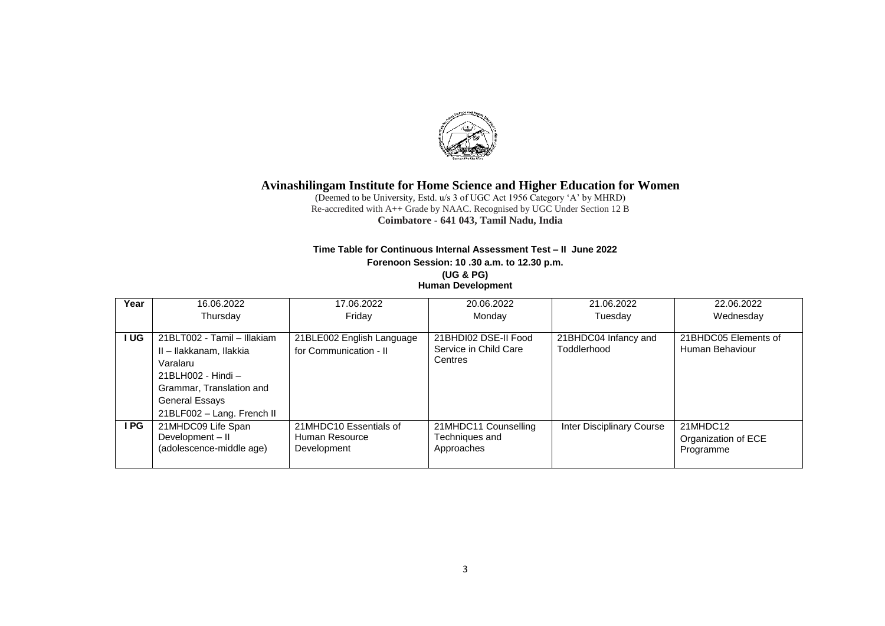

(Deemed to be University, Estd. u/s 3 of UGC Act 1956 Category 'A' by MHRD) Re-accredited with A++ Grade by NAAC. Recognised by UGC Under Section 12 B **Coimbatore - 641 043, Tamil Nadu, India**

## **Time Table for Continuous Internal Assessment Test – II June 2022**

**Forenoon Session: 10 .30 a.m. to 12.30 p.m.**

**(UG & PG) Human Development**

| Year | 16.06.2022                  | 17.06.2022                | 20.06.2022            | 21.06.2022                | 22.06.2022           |
|------|-----------------------------|---------------------------|-----------------------|---------------------------|----------------------|
|      | Thursday                    | Fridav                    | Monday                | Tuesday                   | Wednesday            |
|      |                             |                           |                       |                           |                      |
| I UG | 21BLT002 - Tamil - Illakiam | 21BLE002 English Language | 21BHDI02 DSE-II Food  | 21BHDC04 Infancy and      | 21BHDC05 Elements of |
|      | II - Ilakkanam, Ilakkia     | for Communication - II    | Service in Child Care | Toddlerhood               | Human Behaviour      |
|      | Varalaru                    |                           | Centres               |                           |                      |
|      | 21BLH002 - Hindi –          |                           |                       |                           |                      |
|      | Grammar, Translation and    |                           |                       |                           |                      |
|      | General Essays              |                           |                       |                           |                      |
|      | 21BLF002 - Lang. French II  |                           |                       |                           |                      |
| I PG | 21MHDC09 Life Span          | 21MHDC10 Essentials of    | 21MHDC11 Counselling  | Inter Disciplinary Course | 21MHDC12             |
|      | Development - II            | Human Resource            | Techniques and        |                           | Organization of ECE  |
|      | (adolescence-middle age)    | Development               | Approaches            |                           | Programme            |
|      |                             |                           |                       |                           |                      |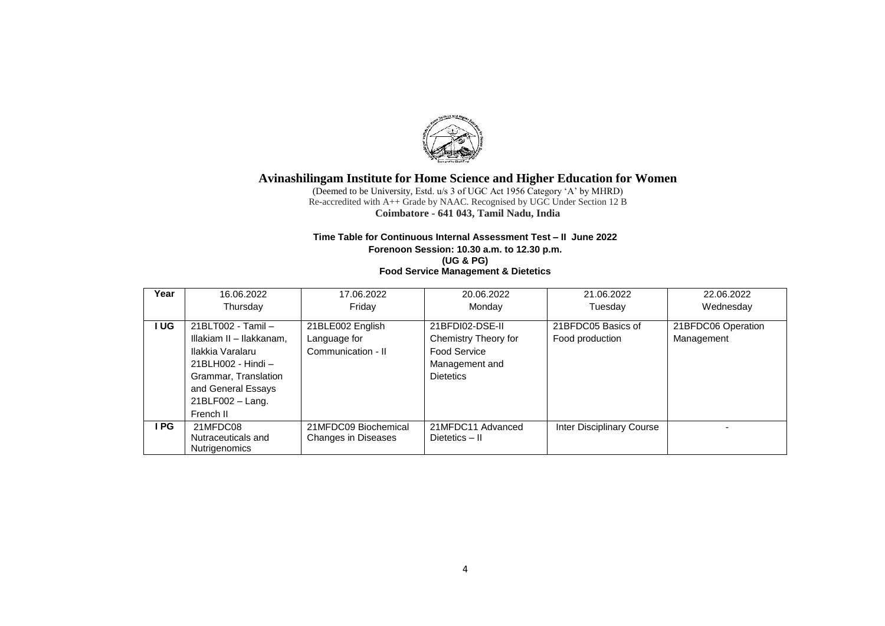

(Deemed to be University, Estd. u/s 3 of UGC Act 1956 Category 'A' by MHRD) Re-accredited with A++ Grade by NAAC. Recognised by UGC Under Section 12 B **Coimbatore - 641 043, Tamil Nadu, India**

### **Time Table for Continuous Internal Assessment Test – II June 2022 Forenoon Session: 10.30 a.m. to 12.30 p.m. (UG & PG) Food Service Management & Dietetics**

| Year | 16.06.2022                                                                                                                                                                | 17.06.2022                                             | 20.06.2022                                                                                           | 21.06.2022                            | 22.06.2022                       |
|------|---------------------------------------------------------------------------------------------------------------------------------------------------------------------------|--------------------------------------------------------|------------------------------------------------------------------------------------------------------|---------------------------------------|----------------------------------|
|      | Thursdav                                                                                                                                                                  | Fridav                                                 | Monday                                                                                               | Tuesday                               | Wednesday                        |
| I UG | 21BLT002 - Tamil -<br>Illakiam II - Ilakkanam,<br>Ilakkia Varalaru<br>21BLH002 - Hindi -<br>Grammar, Translation<br>and General Essays<br>$21BLF002 - Lang.$<br>French II | 21BLE002 English<br>Language for<br>Communication - II | 21BFDI02-DSE-II<br>Chemistry Theory for<br><b>Food Service</b><br>Management and<br><b>Dietetics</b> | 21BFDC05 Basics of<br>Food production | 21BFDC06 Operation<br>Management |
| I PG | 21MFDC08<br>Nutraceuticals and<br><b>Nutrigenomics</b>                                                                                                                    | 21MFDC09 Biochemical<br><b>Changes in Diseases</b>     | 21MFDC11 Advanced<br>Dietetics - II                                                                  | Inter Disciplinary Course             |                                  |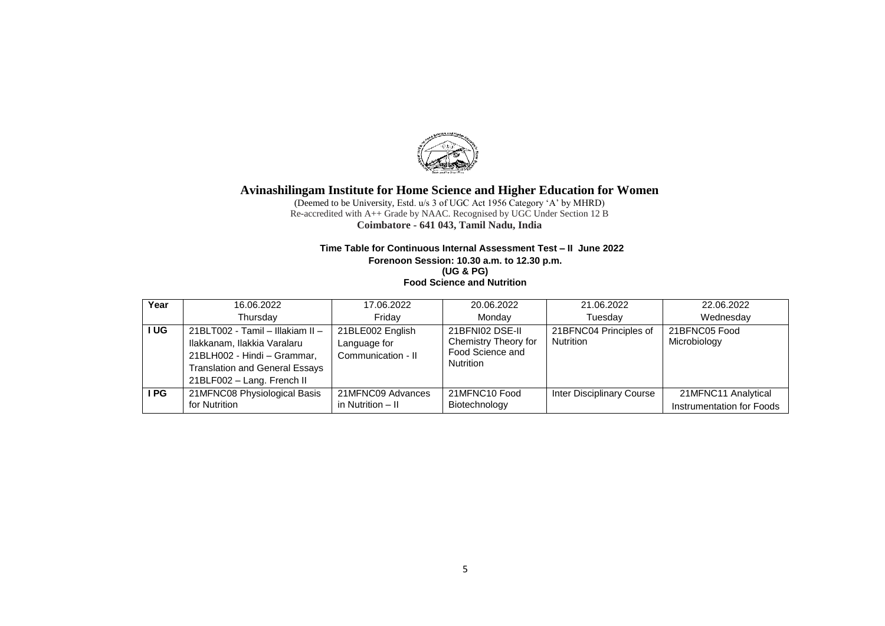

(Deemed to be University, Estd. u/s 3 of UGC Act 1956 Category 'A' by MHRD) Re-accredited with A++ Grade by NAAC. Recognised by UGC Under Section 12 B **Coimbatore - 641 043, Tamil Nadu, India**

### **Time Table for Continuous Internal Assessment Test – II June 2022 Forenoon Session: 10.30 a.m. to 12.30 p.m. (UG & PG)**

**Food Science and Nutrition**

| Year | 16.06.2022                                                                                                                                                            | 17.06.2022                                             | 20.06.2022                                                                      | 21.06.2022                          | 22.06.2022                                       |
|------|-----------------------------------------------------------------------------------------------------------------------------------------------------------------------|--------------------------------------------------------|---------------------------------------------------------------------------------|-------------------------------------|--------------------------------------------------|
|      | Thursdav                                                                                                                                                              | Fridav                                                 | Mondav                                                                          | Tuesday                             | Wednesdav                                        |
| I UG | 21BLT002 - Tamil - Illakiam II -<br>Ilakkanam, Ilakkia Varalaru<br>21BLH002 - Hindi - Grammar,<br><b>Translation and General Essays</b><br>21BLF002 - Lang. French II | 21BLE002 English<br>Language for<br>Communication - II | 21BFNI02 DSE-II<br>Chemistry Theory for<br>Food Science and<br><b>Nutrition</b> | 21BFNC04 Principles of<br>Nutrition | 21BFNC05 Food<br>Microbiology                    |
| I PG | 21MFNC08 Physiological Basis<br>for Nutrition                                                                                                                         | 21MFNC09 Advances<br>in Nutrition - II                 | 21MFNC10 Food<br>Biotechnology                                                  | Inter Disciplinary Course           | 21MFNC11 Analytical<br>Instrumentation for Foods |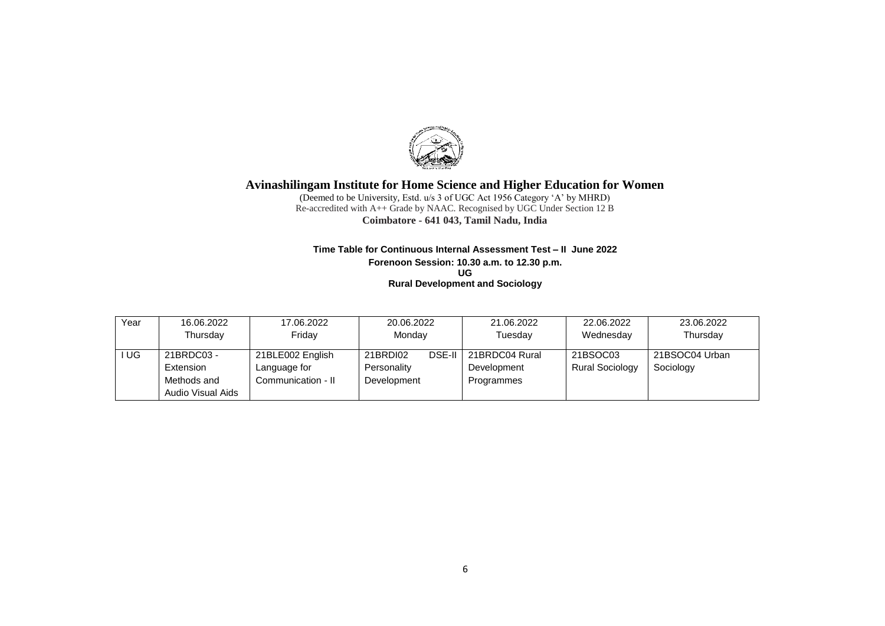

(Deemed to be University, Estd. u/s 3 of UGC Act 1956 Category 'A' by MHRD) Re-accredited with A++ Grade by NAAC. Recognised by UGC Under Section 12 B **Coimbatore - 641 043, Tamil Nadu, India**

#### **Time Table for Continuous Internal Assessment Test – II June 2022 Forenoon Session: 10.30 a.m. to 12.30 p.m. UG Rural Development and Sociology**

| Year | 16.06.2022        | 17.06.2022         | 20.06.2022  |               | 21.06.2022     | 22.06.2022             | 23.06.2022     |
|------|-------------------|--------------------|-------------|---------------|----------------|------------------------|----------------|
|      | Thursdav          | Friday             | Monday      |               | Tuesdav        | Wednesday              | Thursday       |
| UG.  | 21BRDC03 -        | 21BLE002 English   | 21BRDI02    | <b>DSE-II</b> | 21BRDC04 Rural | 21BSOC03               | 21BSOC04 Urban |
|      | Extension         | Language for       | Personality |               | Development    | <b>Rural Sociology</b> | Sociology      |
|      | Methods and       | Communication - II | Development |               | Programmes     |                        |                |
|      | Audio Visual Aids |                    |             |               |                |                        |                |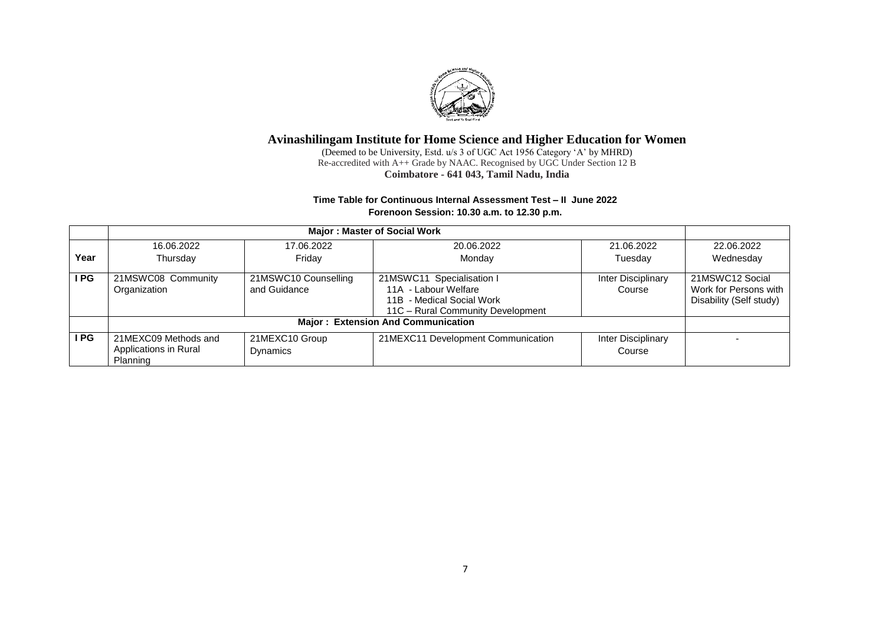

(Deemed to be University, Estd. u/s 3 of UGC Act 1956 Category 'A' by MHRD) Re-accredited with A++ Grade by NAAC. Recognised by UGC Under Section 12 B **Coimbatore - 641 043, Tamil Nadu, India**

### **Time Table for Continuous Internal Assessment Test – II June 2022 Forenoon Session: 10.30 a.m. to 12.30 p.m.**

|      | Major: Master of Social Work                              |                                      |                                                                                                                     |                              |                                                                     |  |  |  |
|------|-----------------------------------------------------------|--------------------------------------|---------------------------------------------------------------------------------------------------------------------|------------------------------|---------------------------------------------------------------------|--|--|--|
|      | 16.06.2022                                                | 17.06.2022                           | 20.06.2022                                                                                                          | 21.06.2022                   | 22.06.2022                                                          |  |  |  |
| Year | Thursday                                                  | Friday                               | Monday                                                                                                              | Tuesday                      | Wednesday                                                           |  |  |  |
| I PG | 21MSWC08 Community<br>Organization                        | 21MSWC10 Counselling<br>and Guidance | 21MSWC11 Specialisation I<br>11A - Labour Welfare<br>11B - Medical Social Work<br>11C - Rural Community Development | Inter Disciplinary<br>Course | 21MSWC12 Social<br>Work for Persons with<br>Disability (Self study) |  |  |  |
|      |                                                           |                                      | <b>Major: Extension And Communication</b>                                                                           |                              |                                                                     |  |  |  |
| I PG | 21MEXC09 Methods and<br>Applications in Rural<br>Planning | 21MEXC10 Group<br>Dynamics           | 21MEXC11 Development Communication                                                                                  | Inter Disciplinary<br>Course |                                                                     |  |  |  |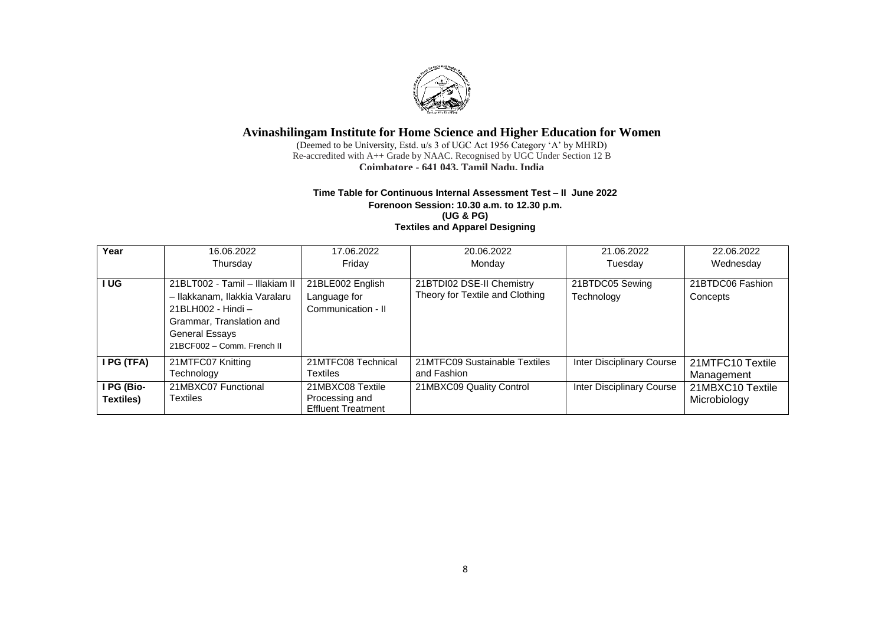

(Deemed to be University, Estd. u/s 3 of UGC Act 1956 Category 'A' by MHRD) Re-accredited with A++ Grade by NAAC. Recognised by UGC Under Section 12 B **Coimbatore - 641 043, Tamil Nadu, India**

#### **Time Table for Continuous Internal Assessment Test – II June 2022 Forenoon Session: 10.30 a.m. to 12.30 p.m. (UG & PG) Textiles and Apparel Designing**

| Year                                                | 16.06.2022<br>Thursday                                                                                                                                                   | 17.06.2022<br>Fridav                                            | 20.06.2022<br>Monday                                         | 21.06.2022<br>Tuesday         | 22.06.2022<br>Wednesday          |
|-----------------------------------------------------|--------------------------------------------------------------------------------------------------------------------------------------------------------------------------|-----------------------------------------------------------------|--------------------------------------------------------------|-------------------------------|----------------------------------|
| l UG                                                | 21BLT002 - Tamil - Illakiam II<br>- Ilakkanam, Ilakkia Varalaru<br>21BLH002 - Hindi -<br>Grammar, Translation and<br><b>General Essays</b><br>21BCF002 - Comm. French II | 21BLE002 English<br>Language for<br>Communication - II          | 21BTDI02 DSE-II Chemistry<br>Theory for Textile and Clothing | 21BTDC05 Sewing<br>Technology | 21BTDC06 Fashion<br>Concepts     |
| I PG (TFA)                                          | 21MTFC07 Knitting<br>Technology                                                                                                                                          | 21MTFC08 Technical<br>Textiles                                  | 21MTFC09 Sustainable Textiles<br>and Fashion                 | Inter Disciplinary Course     | 21MTFC10 Textile<br>Management   |
| $\overline{\mathsf{IPG}}$ (Bio-<br><b>Textiles)</b> | 21MBXC07 Functional<br>Textiles                                                                                                                                          | 21MBXC08 Textile<br>Processing and<br><b>Effluent Treatment</b> | 21MBXC09 Quality Control                                     | Inter Disciplinary Course     | 21MBXC10 Textile<br>Microbiology |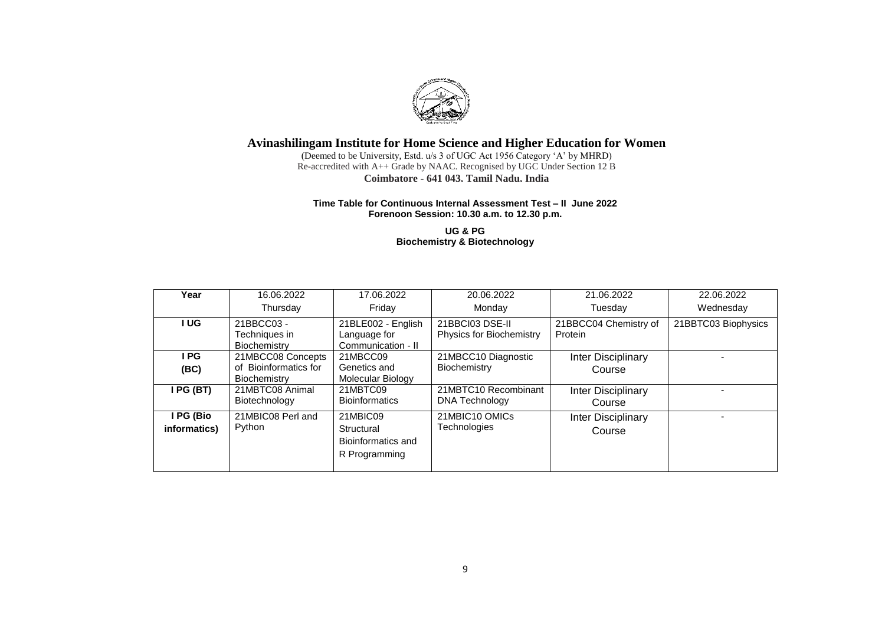

(Deemed to be University, Estd. u/s 3 of UGC Act 1956 Category 'A' by MHRD) Re-accredited with A++ Grade by NAAC. Recognised by UGC Under Section 12 B **Coimbatore - 641 043, Tamil Nadu, India**

### **Time Table for Continuous Internal Assessment Test – II June 2022 Forenoon Session: 10.30 a.m. to 12.30 p.m.**

**UG & PG Biochemistry & Biotechnology**

| Year                      | 16.06.2022                                                 | 17.06.2022                                                                           | 20.06.2022                                                                      | 21.06.2022                   | 22.06.2022          |
|---------------------------|------------------------------------------------------------|--------------------------------------------------------------------------------------|---------------------------------------------------------------------------------|------------------------------|---------------------|
|                           | Thursday                                                   | Monday<br>Friday                                                                     |                                                                                 | Tuesday                      | Wednesday           |
| I UG                      | 21BBCC03 -<br>Techniques in<br>Biochemistry                | 21BLE002 - English<br>Language for<br>Communication - II                             | 21BBCC04 Chemistry of<br>21BBCI03 DSE-II<br>Physics for Biochemistry<br>Protein |                              | 21BBTC03 Biophysics |
| I PG<br>(BC)              | 21MBCC08 Concepts<br>of Bioinformatics for<br>Biochemistry | 21MBCC10 Diagnostic<br>21MBCC09<br>Genetics and<br>Biochemistry<br>Molecular Biology |                                                                                 | Inter Disciplinary<br>Course |                     |
| I PG (BT)                 | 21MBTC08 Animal<br>Biotechnology                           | 21MBTC09<br><b>Bioinformatics</b>                                                    | 21MBTC10 Recombinant<br>DNA Technology                                          | Inter Disciplinary<br>Course |                     |
| I PG (Bio<br>informatics) | 21MBIC08 Perl and<br>Python                                | 21MBIC09<br>Structural<br>Bioinformatics and<br>R Programming                        | 21MBIC10 OMICs<br>Technologies                                                  | Inter Disciplinary<br>Course |                     |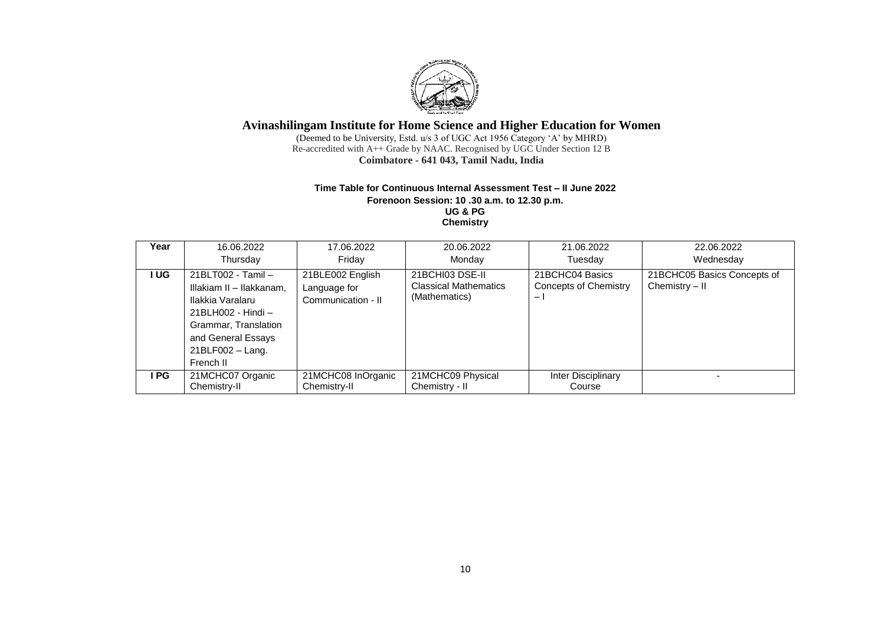

(Deemed to be University, Estd. u/s 3 of UGC Act 1956 Category 'A' by MHRD) Re-accredited with A++ Grade by NAAC. Recognised by UGC Under Section 12 B **Coimbatore - 641 043, Tamil Nadu, India**

#### **Time Table for Continuous Internal Assessment Test – II June 2022 Forenoon Session: 10 .30 a.m. to 12.30 p.m. UG & PG Chemistry**

| Year  | 16.06.2022                                                                                                                                                              | 17.06.2022                                             | 20.06.2022                                                       | 21.06.2022                                                    | 22.06.2022                                    |
|-------|-------------------------------------------------------------------------------------------------------------------------------------------------------------------------|--------------------------------------------------------|------------------------------------------------------------------|---------------------------------------------------------------|-----------------------------------------------|
|       | Thursday                                                                                                                                                                | Fridav                                                 | Monday                                                           | Tuesday                                                       | Wednesday                                     |
| I UG  | 21BLT002 - Tamil -<br>Illakiam II - Ilakkanam,<br>Ilakkia Varalaru<br>21BLH002 - Hindi -<br>Grammar, Translation<br>and General Essays<br>21BLF002 - Lang.<br>French II | 21BLE002 English<br>Language for<br>Communication - II | 21BCHI03 DSE-II<br><b>Classical Mathematics</b><br>(Mathematics) | 21BCHC04 Basics<br>Concepts of Chemistry<br>$\qquad \qquad -$ | 21BCHC05 Basics Concepts of<br>Chemistry - II |
| I PG. | 21MCHC07 Organic<br>Chemistry-II                                                                                                                                        | 21MCHC08 InOrganic<br>Chemistry-II                     | 21MCHC09 Physical<br>Chemistry - II                              | Inter Disciplinary<br>Course                                  |                                               |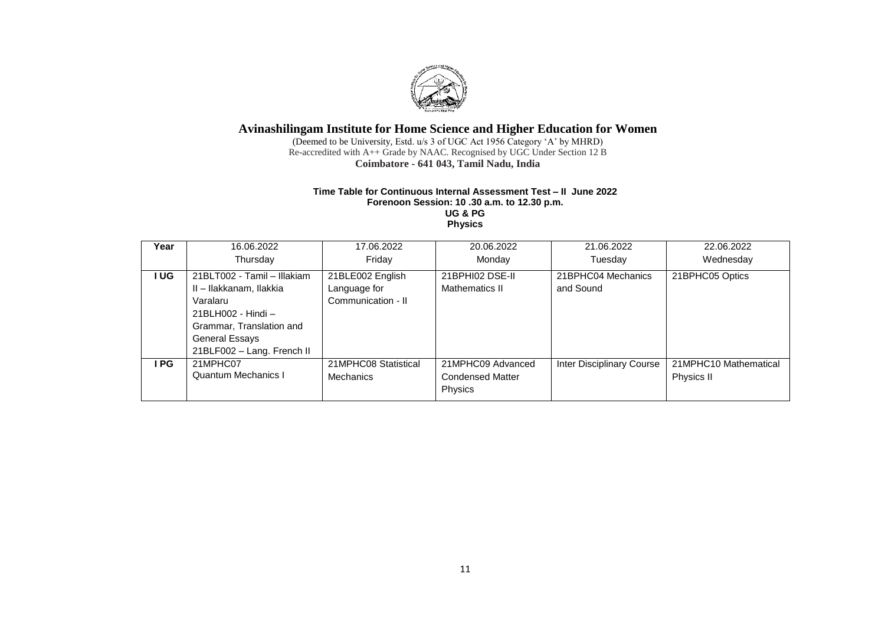

(Deemed to be University, Estd. u/s 3 of UGC Act 1956 Category 'A' by MHRD) Re-accredited with A++ Grade by NAAC. Recognised by UGC Under Section 12 B **Coimbatore - 641 043, Tamil Nadu, India**

### **Time Table for Continuous Internal Assessment Test – II June 2022 Forenoon Session: 10 .30 a.m. to 12.30 p.m. UG & PG**

**Physics**

| Year | 16.06.2022<br>Thursday                                 | 17.06.2022<br>Friday                     | 20.06.2022<br>Monday                                    | 21.06.2022<br>Tuesday           | 22.06.2022<br>Wednesday             |
|------|--------------------------------------------------------|------------------------------------------|---------------------------------------------------------|---------------------------------|-------------------------------------|
|      |                                                        |                                          |                                                         |                                 |                                     |
| I UG | 21BLT002 - Tamil - Illakiam<br>II - Ilakkanam, Ilakkia | 21BLE002 English<br>Language for         | 21BPHI02 DSE-II<br>Mathematics II                       | 21BPHC04 Mechanics<br>and Sound | 21BPHC05 Optics                     |
|      | Varalaru<br>21BLH002 - Hindi -                         | Communication - II                       |                                                         |                                 |                                     |
|      | Grammar, Translation and                               |                                          |                                                         |                                 |                                     |
|      | General Essays<br>21BLF002 - Lang. French II           |                                          |                                                         |                                 |                                     |
| I PG | 21MPHC07<br><b>Quantum Mechanics I</b>                 | 21MPHC08 Statistical<br><b>Mechanics</b> | 21MPHC09 Advanced<br><b>Condensed Matter</b><br>Physics | Inter Disciplinary Course       | 21MPHC10 Mathematical<br>Physics II |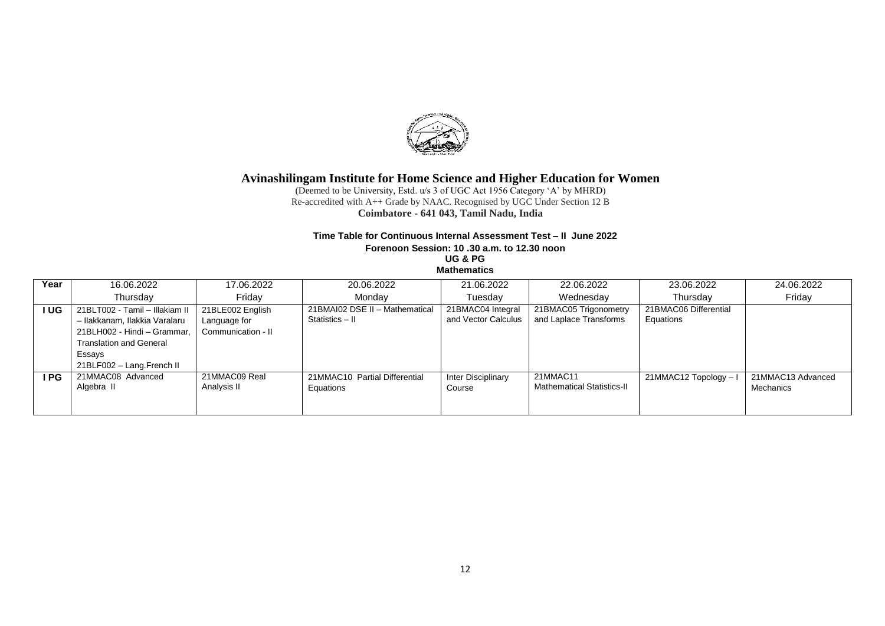

(Deemed to be University, Estd. u/s 3 of UGC Act 1956 Category 'A' by MHRD) Re-accredited with A++ Grade by NAAC. Recognised by UGC Under Section 12 B **Coimbatore - 641 043, Tamil Nadu, India**

### **Time Table for Continuous Internal Assessment Test – II June 2022**

**Forenoon Session: 10 .30 a.m. to 12.30 noon**

**UG & PG**

**Mathematics** 

| Year       | 16.06.2022                                                                                                                                                              | 17.06.2022                                             | 20.06.2022                                        | 21.06.2022                               | 22.06.2022                                      | 23.06.2022                         | 24.06.2022                     |
|------------|-------------------------------------------------------------------------------------------------------------------------------------------------------------------------|--------------------------------------------------------|---------------------------------------------------|------------------------------------------|-------------------------------------------------|------------------------------------|--------------------------------|
|            | Thursday                                                                                                                                                                | Fridav                                                 | Mondav                                            | Tuesday                                  | Wednesday                                       | Thursdav                           | Friday                         |
| <b>IUG</b> | 21BLT002 - Tamil - Illakiam II<br>- Ilakkanam, Ilakkia Varalaru<br>21BLH002 - Hindi - Grammar.<br><b>Translation and General</b><br>Essays<br>21BLF002 - Lang.French II | 21BLE002 English<br>Language for<br>Communication - II | 21BMAI02 DSE II - Mathematical<br>Statistics - II | 21BMAC04 Integral<br>and Vector Calculus | 21BMAC05 Trigonometry<br>and Laplace Transforms | 21BMAC06 Differential<br>Equations |                                |
| I PG       | 21MMAC08 Advanced<br>Algebra II                                                                                                                                         | 21MMAC09 Real<br>Analysis II                           | 21MMAC10 Partial Differential<br>Equations        | Inter Disciplinary<br>Course             | 21MMAC11<br><b>Mathematical Statistics-II</b>   | 21MMAC12 Topology -                | 21MMAC13 Advanced<br>Mechanics |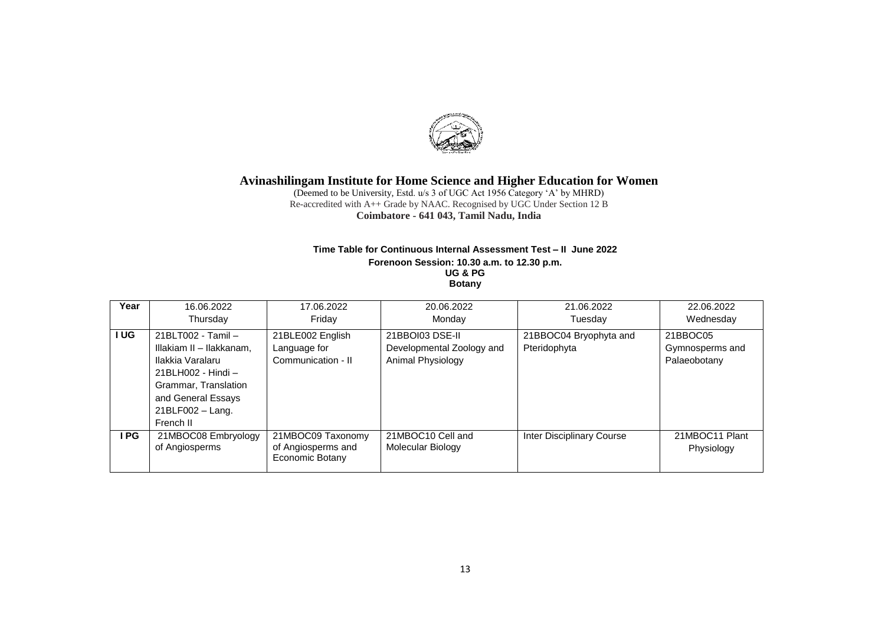

(Deemed to be University, Estd. u/s 3 of UGC Act 1956 Category 'A' by MHRD) Re-accredited with A++ Grade by NAAC. Recognised by UGC Under Section 12 B **Coimbatore - 641 043, Tamil Nadu, India**

#### **Time Table for Continuous Internal Assessment Test – II June 2022 Forenoon Session: 10.30 a.m. to 12.30 p.m. UG & PG Botany**

| Year | 16.06.2022               | 17.06.2022         | 20.06.2022                | 21.06.2022                | 22.06.2022      |
|------|--------------------------|--------------------|---------------------------|---------------------------|-----------------|
|      | Thursday                 | Fridav             | Monday                    | Tuesday                   | Wednesday       |
| UG   | 21BLT002 - Tamil -       | 21BLE002 English   | 21BBOI03 DSE-II           | 21BBOC04 Bryophyta and    | 21BBOC05        |
|      | Illakiam II - Ilakkanam. | Language for       | Developmental Zoology and | Pteridophyta              | Gymnosperms and |
|      | Ilakkia Varalaru         | Communication - II | Animal Physiology         |                           | Palaeobotany    |
|      | 21BLH002 - Hindi -       |                    |                           |                           |                 |
|      | Grammar, Translation     |                    |                           |                           |                 |
|      | and General Essays       |                    |                           |                           |                 |
|      | 21BLF002 - Lang.         |                    |                           |                           |                 |
|      | French II                |                    |                           |                           |                 |
| ∣ PG | 21MBOC08 Embryology      | 21MBOC09 Taxonomy  | 21MBOC10 Cell and         | Inter Disciplinary Course | 21MBOC11 Plant  |
|      | of Angiosperms           | of Angiosperms and | Molecular Biology         |                           | Physiology      |
|      |                          | Economic Botany    |                           |                           |                 |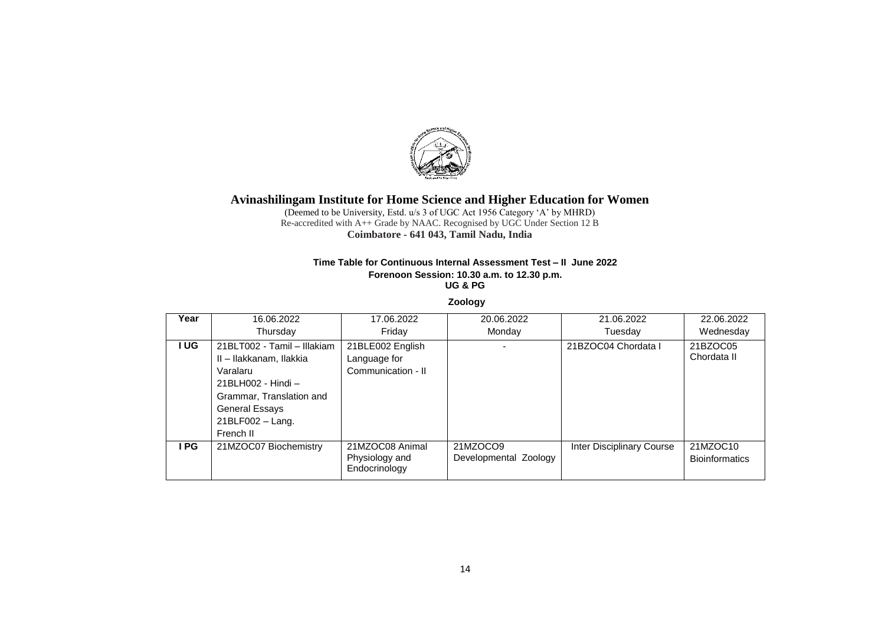

(Deemed to be University, Estd. u/s 3 of UGC Act 1956 Category 'A' by MHRD) Re-accredited with A++ Grade by NAAC. Recognised by UGC Under Section 12 B **Coimbatore - 641 043, Tamil Nadu, India**

#### **Time Table for Continuous Internal Assessment Test – II June 2022 Forenoon Session: 10.30 a.m. to 12.30 p.m. UG & PG**

**Zoology**

| Year | 16.06.2022                                                                                                                                                                       | 17.06.2022                                             | 20.06.2022                        | 21.06.2022                | 22.06.2022                        |
|------|----------------------------------------------------------------------------------------------------------------------------------------------------------------------------------|--------------------------------------------------------|-----------------------------------|---------------------------|-----------------------------------|
|      | Thursday                                                                                                                                                                         | Fridav                                                 | Monday                            | Tuesday                   | Wednesday                         |
| I UG | 21BLT002 - Tamil - Illakiam<br>II - Ilakkanam, Ilakkia<br>Varalaru<br>21BLH002 - Hindi -<br>Grammar, Translation and<br><b>General Essays</b><br>$21BLF002 - Lang.$<br>French II | 21BLE002 English<br>Language for<br>Communication - II |                                   | 21BZOC04 Chordata I       | 21BZOC05<br>Chordata II           |
| I PG | 21MZOC07 Biochemistry                                                                                                                                                            | 21MZOC08 Animal<br>Physiology and<br>Endocrinology     | 21MZOCO9<br>Developmental Zoology | Inter Disciplinary Course | 21MZOC10<br><b>Bioinformatics</b> |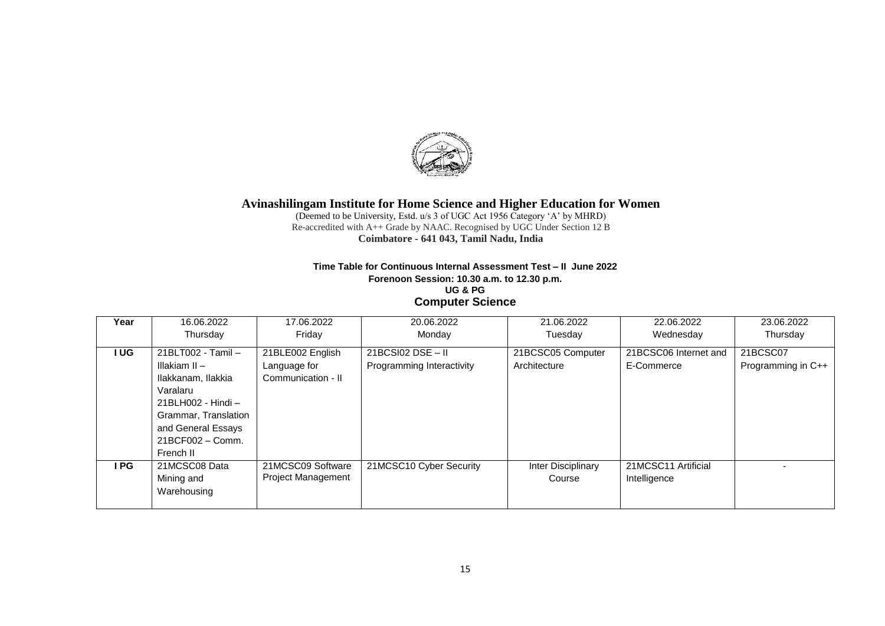

(Deemed to be University, Estd. u/s 3 of UGC Act 1956 Category 'A' by MHRD) Re-accredited with A++ Grade by NAAC. Recognised by UGC Under Section 12 B **Coimbatore - 641 043, Tamil Nadu, India**

### **Time Table for Continuous Internal Assessment Test – II June 2022 Forenoon Session: 10.30 a.m. to 12.30 p.m. UG & PG Computer Science**

| Year       | 16.06.2022           | 17.06.2022                | 20.06.2022                | 21.06.2022         | 22.06.2022            | 23.06.2022         |
|------------|----------------------|---------------------------|---------------------------|--------------------|-----------------------|--------------------|
|            | Thursday             | Friday                    | Monday                    | Tuesday            | Wednesday             | Thursday           |
| <b>IUG</b> | 21BLT002 - Tamil -   | 21BLE002 English          | $21BCS102$ DSE - II       | 21BCSC05 Computer  | 21BCSC06 Internet and | 21BCSC07           |
|            | Illakiam II –        | Language for              | Programming Interactivity | Architecture       | E-Commerce            | Programming in C++ |
|            | Ilakkanam, Ilakkia   | Communication - II        |                           |                    |                       |                    |
|            | Varalaru             |                           |                           |                    |                       |                    |
|            | $21BLH002 - Hindi -$ |                           |                           |                    |                       |                    |
|            | Grammar, Translation |                           |                           |                    |                       |                    |
|            | and General Essays   |                           |                           |                    |                       |                    |
|            | 21BCF002 - Comm.     |                           |                           |                    |                       |                    |
|            | French II            |                           |                           |                    |                       |                    |
| I PG       | 21MCSC08 Data        | 21MCSC09 Software         | 21MCSC10 Cyber Security   | Inter Disciplinary | 21MCSC11 Artificial   |                    |
|            | Mining and           | <b>Project Management</b> |                           | Course             | Intelligence          |                    |
|            | Warehousing          |                           |                           |                    |                       |                    |
|            |                      |                           |                           |                    |                       |                    |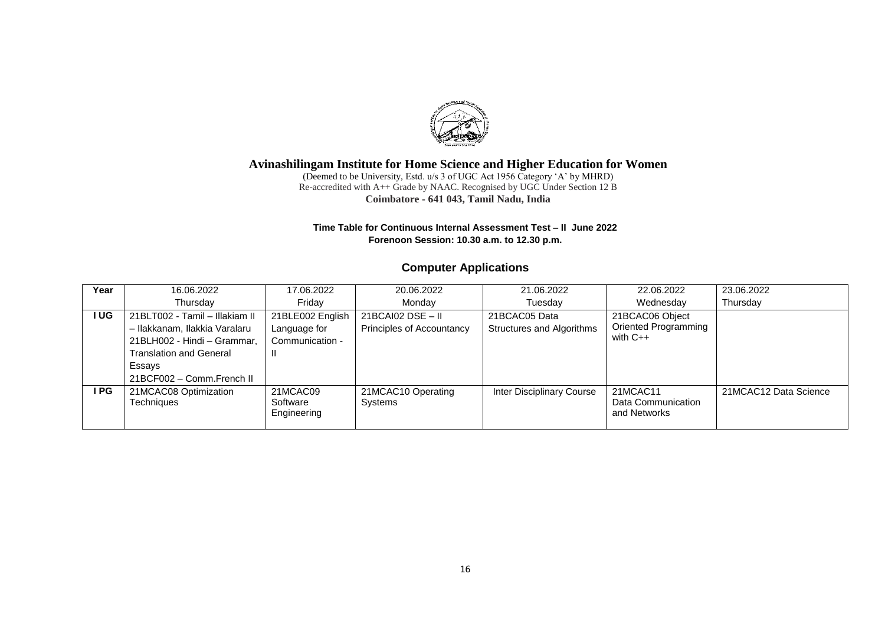

(Deemed to be University, Estd. u/s 3 of UGC Act 1956 Category 'A' by MHRD) Re-accredited with A++ Grade by NAAC. Recognised by UGC Under Section 12 B **Coimbatore - 641 043, Tamil Nadu, India**

### **Time Table for Continuous Internal Assessment Test – II June 2022 Forenoon Session: 10.30 a.m. to 12.30 p.m.**

# **Computer Applications**

| Year  | 16.06.2022                                 | 17.06.2022           | 20.06.2022                    | 21.06.2022                | 22.06.2022                     | 23.06.2022            |
|-------|--------------------------------------------|----------------------|-------------------------------|---------------------------|--------------------------------|-----------------------|
|       | Thursday                                   | Fridav               | Monday                        | Tuesday                   | Wednesday                      | Thursday              |
| I UG  | 21BLT002 - Tamil - Illakiam II             | 21BLE002 English     | 21BCAI02 DSE - II             | 21BCAC05 Data             | 21BCAC06 Object                |                       |
|       | - Ilakkanam, Ilakkia Varalaru              | Language for         | Principles of Accountancy     | Structures and Algorithms | <b>Oriented Programming</b>    |                       |
|       | 21BLH002 - Hindi - Grammar,                | Communication -      |                               |                           | with $C++$                     |                       |
|       | <b>Translation and General</b>             | Ш                    |                               |                           |                                |                       |
|       | Essays                                     |                      |                               |                           |                                |                       |
|       | 21BCF002 - Comm.French II                  |                      |                               |                           |                                |                       |
| I PG. | 21MCAC08 Optimization<br><b>Techniques</b> | 21MCAC09<br>Software | 21MCAC10 Operating<br>Systems | Inter Disciplinary Course | 21MCAC11<br>Data Communication | 21MCAC12 Data Science |
|       |                                            | Engineering          |                               |                           | and Networks                   |                       |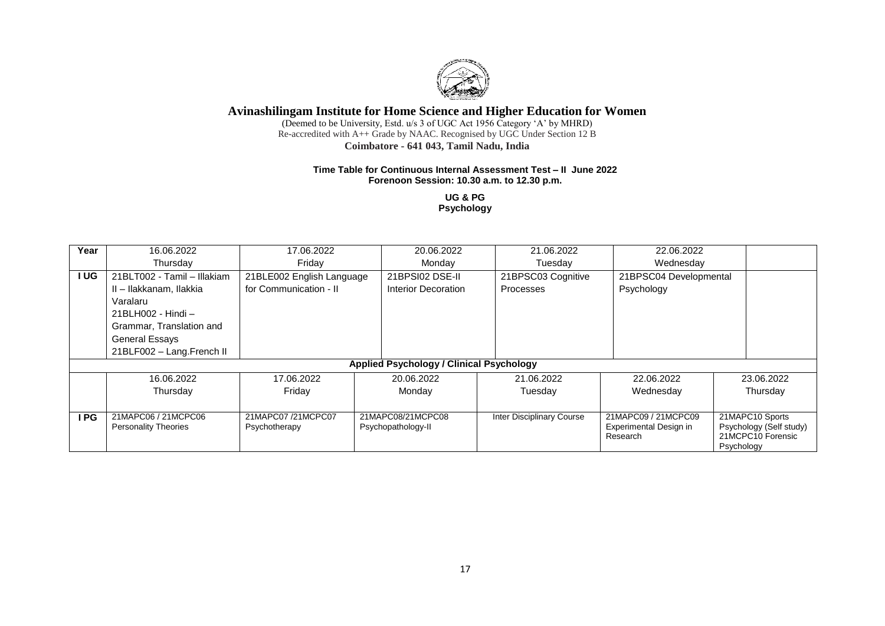

(Deemed to be University, Estd. u/s 3 of UGC Act 1956 Category 'A' by MHRD) Re-accredited with A++ Grade by NAAC. Recognised by UGC Under Section 12 B **Coimbatore - 641 043, Tamil Nadu, India**

#### **Time Table for Continuous Internal Assessment Test – II June 2022 Forenoon Session: 10.30 a.m. to 12.30 p.m.**

**UG & PG Psychology**

| Year | 16.06.2022                                         | 17.06.2022                         |                                         | 20.06.2022                                      | 21.06.2022                | 22.06.2022                                                |            |                                                                 |
|------|----------------------------------------------------|------------------------------------|-----------------------------------------|-------------------------------------------------|---------------------------|-----------------------------------------------------------|------------|-----------------------------------------------------------------|
|      | Thursday                                           | Friday                             |                                         | Monday                                          | Tuesday                   | Wednesday                                                 |            |                                                                 |
| I UG | 21BLT002 - Tamil - Illakiam                        | 21BLE002 English Language          |                                         | 21BPSI02 DSE-II                                 | 21BPSC03 Cognitive        | 21BPSC04 Developmental                                    |            |                                                                 |
|      | II - Ilakkanam, Ilakkia                            | for Communication - II             | Interior Decoration                     |                                                 | <b>Processes</b>          | Psychology                                                |            |                                                                 |
|      | Varalaru                                           |                                    |                                         |                                                 |                           |                                                           |            |                                                                 |
|      | 21BLH002 - Hindi -                                 |                                    |                                         |                                                 |                           |                                                           |            |                                                                 |
|      | Grammar, Translation and                           |                                    |                                         |                                                 |                           |                                                           |            |                                                                 |
|      | <b>General Essays</b>                              |                                    |                                         |                                                 |                           |                                                           |            |                                                                 |
|      | 21BLF002 - Lang.French II                          |                                    |                                         |                                                 |                           |                                                           |            |                                                                 |
|      |                                                    |                                    |                                         | <b>Applied Psychology / Clinical Psychology</b> |                           |                                                           |            |                                                                 |
|      | 16.06.2022                                         | 17.06.2022                         |                                         | 20.06.2022                                      | 21.06.2022                | 22.06.2022                                                |            | 23.06.2022                                                      |
|      | Thursday                                           | Friday                             |                                         | Monday                                          | Tuesday                   | Wednesday                                                 |            | Thursday                                                        |
|      |                                                    |                                    |                                         |                                                 |                           |                                                           |            |                                                                 |
| I PG | 21MAPC06 / 21MCPC06<br><b>Personality Theories</b> | 21MAPC07/21MCPC07<br>Psychotherapy | 21MAPC08/21MCPC08<br>Psychopathology-II |                                                 | Inter Disciplinary Course | 21MAPC09 / 21MCPC09<br>Experimental Design in<br>Research | Psychology | 21MAPC10 Sports<br>Psychology (Self study)<br>21MCPC10 Forensic |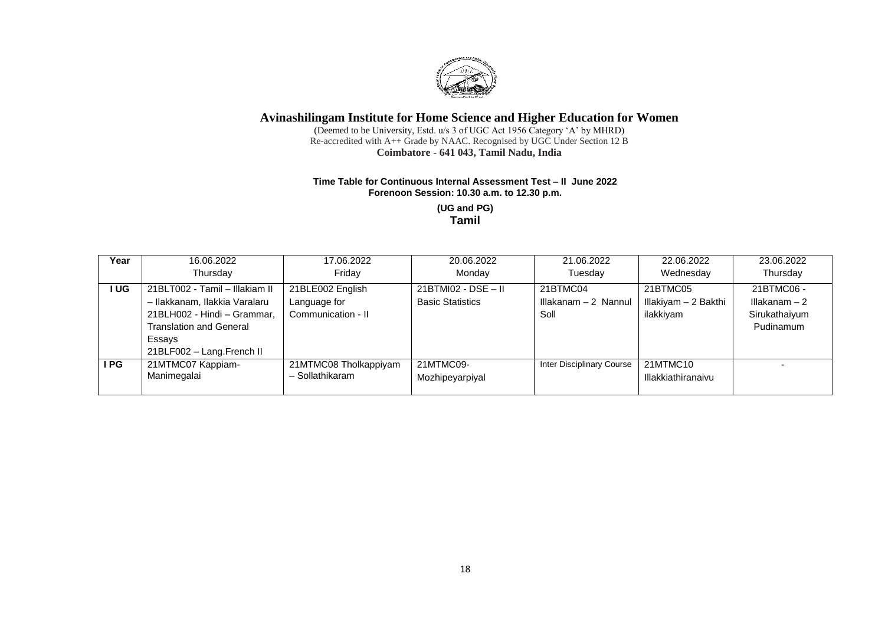

(Deemed to be University, Estd. u/s 3 of UGC Act 1956 Category 'A' by MHRD) Re-accredited with A++ Grade by NAAC. Recognised by UGC Under Section 12 B **Coimbatore - 641 043, Tamil Nadu, India**

#### **Time Table for Continuous Internal Assessment Test – II June 2022 Forenoon Session: 10.30 a.m. to 12.30 p.m.**

**(UG and PG) Tamil**

| Year | 16.06.2022                                                                                                                                                       | 17.06.2022                                             | 20.06.2022                                       | 21.06.2022                               | 22.06.2022                                    | 23.06.2022                                                 |
|------|------------------------------------------------------------------------------------------------------------------------------------------------------------------|--------------------------------------------------------|--------------------------------------------------|------------------------------------------|-----------------------------------------------|------------------------------------------------------------|
|      | Thursday                                                                                                                                                         | Friday                                                 | Monday                                           | Tuesday                                  | Wednesday                                     | Thursday                                                   |
| I UG | 21BLT002 - Tamil - Illakiam II<br>- Ilakkanam, Ilakkia Varalaru<br>21BLH002 - Hindi - Grammar,<br>Translation and General<br>Essays<br>21BLF002 - Lang.French II | 21BLE002 English<br>Language for<br>Communication - II | $21BTM102 - DSE - II$<br><b>Basic Statistics</b> | 21BTMC04<br>Illakanam - 2 Nannul<br>Soll | 21BTMC05<br>Illakiyam - 2 Bakthi<br>ilakkiyam | 21BTMC06 -<br>Illakanam $-2$<br>Sirukathaiyum<br>Pudinamum |
| I PG | 21MTMC07 Kappiam-<br>Manimegalai                                                                                                                                 | 21MTMC08 Tholkappiyam<br>- Sollathikaram               | 21MTMC09-<br>Mozhipeyarpiyal                     | Inter Disciplinary Course                | 21MTMC10<br>Illakkiathiranaivu                |                                                            |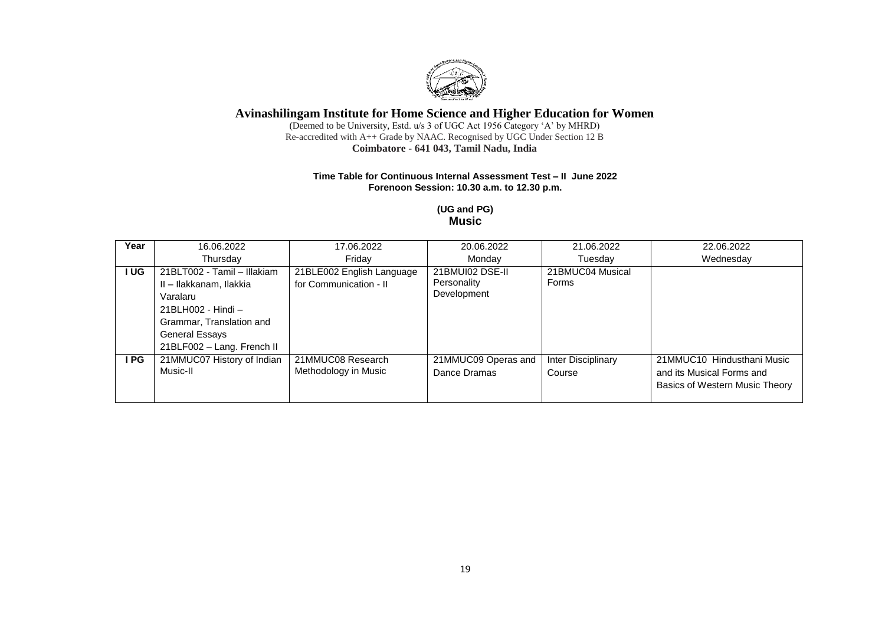

(Deemed to be University, Estd. u/s 3 of UGC Act 1956 Category 'A' by MHRD) Re-accredited with A++ Grade by NAAC. Recognised by UGC Under Section 12 B **Coimbatore - 641 043, Tamil Nadu, India**

### **Time Table for Continuous Internal Assessment Test – II June 2022 Forenoon Session: 10.30 a.m. to 12.30 p.m.**

### **(UG and PG) Music**

| Year  | 16.06.2022                                                                                                                                                           | 17.06.2022                                          | 20.06.2022                                    | 21.06.2022                   | 22.06.2022                                                                                |
|-------|----------------------------------------------------------------------------------------------------------------------------------------------------------------------|-----------------------------------------------------|-----------------------------------------------|------------------------------|-------------------------------------------------------------------------------------------|
|       | Thursday                                                                                                                                                             | Fridav                                              | Monday                                        | Tuesday                      | Wednesday                                                                                 |
| I UG. | 21BLT002 - Tamil - Illakiam<br>II - Ilakkanam, Ilakkia<br>Varalaru<br>21BLH002 - Hindi -<br>Grammar, Translation and<br>General Essays<br>21BLF002 - Lang. French II | 21BLE002 English Language<br>for Communication - II | 21BMUI02 DSE-II<br>Personality<br>Development | 21BMUC04 Musical<br>Forms    |                                                                                           |
| I PG  | 21MMUC07 History of Indian<br>Music-II                                                                                                                               | 21MMUC08 Research<br>Methodology in Music           | 21MMUC09 Operas and<br>Dance Dramas           | Inter Disciplinary<br>Course | 21MMUC10 Hindusthani Music<br>and its Musical Forms and<br>Basics of Western Music Theory |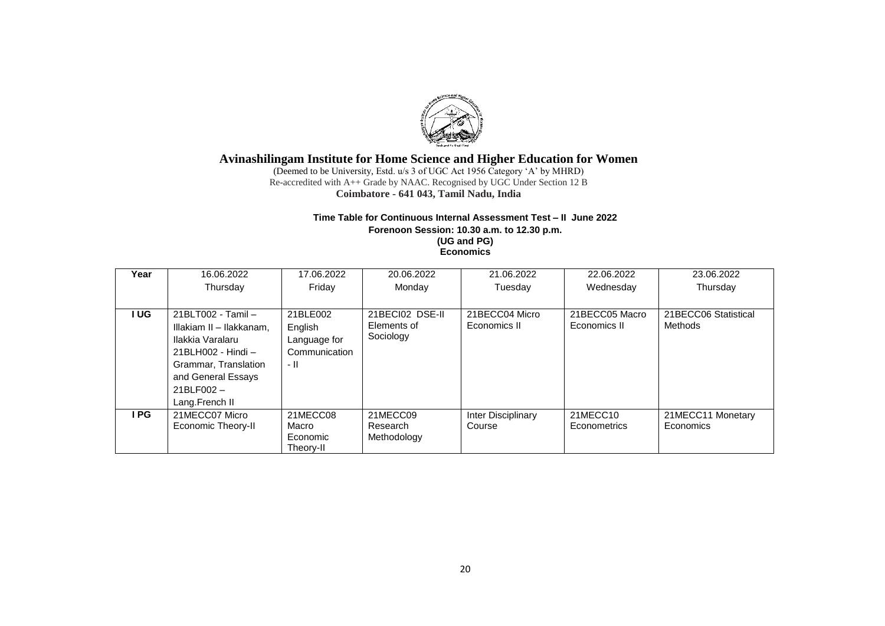

(Deemed to be University, Estd. u/s 3 of UGC Act 1956 Category 'A' by MHRD) Re-accredited with A++ Grade by NAAC. Recognised by UGC Under Section 12 B **Coimbatore - 641 043, Tamil Nadu, India**

### **Time Table for Continuous Internal Assessment Test – II June 2022**

**Forenoon Session: 10.30 a.m. to 12.30 p.m. (UG and PG) Economics**

| Year | 16.06.2022                                                                                                                                                               | 17.06.2022                                                   | 20.06.2022                                  | 21.06.2022                     | 22.06.2022                      | 23.06.2022                      |
|------|--------------------------------------------------------------------------------------------------------------------------------------------------------------------------|--------------------------------------------------------------|---------------------------------------------|--------------------------------|---------------------------------|---------------------------------|
|      | Thursday                                                                                                                                                                 | Friday                                                       | Monday                                      | Tuesday                        | Wednesday                       | Thursday                        |
|      |                                                                                                                                                                          |                                                              |                                             |                                |                                 |                                 |
| I UG | 21BLT002 - Tamil -<br>Illakiam II - Ilakkanam,<br>Ilakkia Varalaru<br>21BLH002 - Hindi -<br>Grammar, Translation<br>and General Essays<br>$21BLF002 -$<br>Lang.French II | 21BLE002<br>English<br>Language for<br>Communication<br>- 11 | 21BECI02 DSE-II<br>Elements of<br>Sociology | 21BECC04 Micro<br>Economics II | 21BECC05 Macro<br>Economics II  | 21BECC06 Statistical<br>Methods |
| I PG | 21MECC07 Micro<br>Economic Theory-II                                                                                                                                     | 21MECC08<br>Macro<br>Economic<br>Theory-II                   | 21MECC09<br>Research<br>Methodology         | Inter Disciplinary<br>Course   | 21MECC10<br><b>Econometrics</b> | 21MECC11 Monetary<br>Economics  |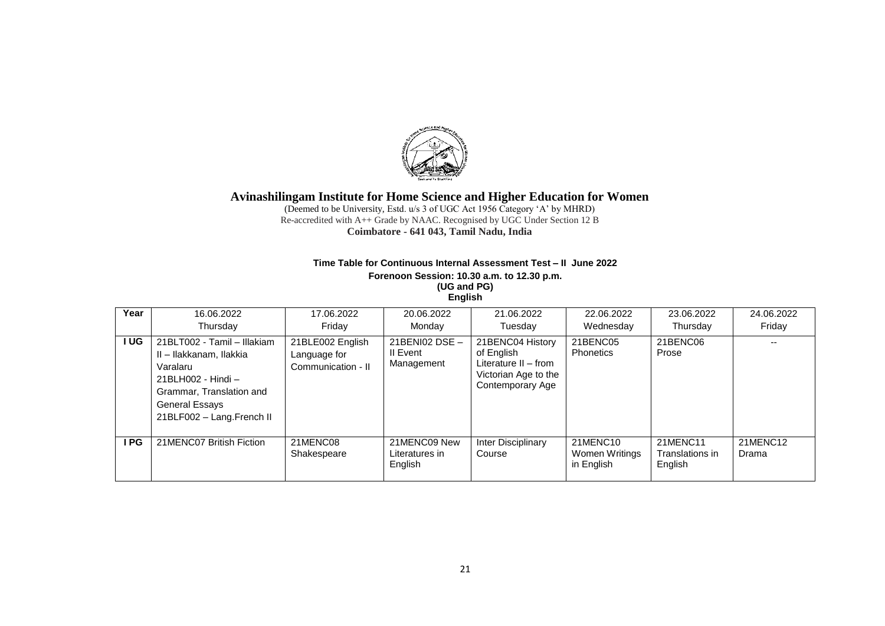

(Deemed to be University, Estd. u/s 3 of UGC Act 1956 Category 'A' by MHRD) Re-accredited with A++ Grade by NAAC. Recognised by UGC Under Section 12 B **Coimbatore - 641 043, Tamil Nadu, India**

### **Time Table for Continuous Internal Assessment Test – II June 2022 Forenoon Session: 10.30 a.m. to 12.30 p.m. (UG and PG) English**

| Year       | 16.06.2022<br>Thursday                                                                                                                                                     | 17.06.2022<br>Fridav                                   | 20.06.2022<br>Monday                       | 21.06.2022<br>Tuesday                                                                              | 22.06.2022<br>Wednesday                  | 23.06.2022<br>Thursday                 | 24.06.2022<br>Friday |
|------------|----------------------------------------------------------------------------------------------------------------------------------------------------------------------------|--------------------------------------------------------|--------------------------------------------|----------------------------------------------------------------------------------------------------|------------------------------------------|----------------------------------------|----------------------|
| <b>IUG</b> | 21BLT002 - Tamil - Illakiam<br>II - Ilakkanam, Ilakkia<br>Varalaru<br>21BLH002 - Hindi –<br>Grammar, Translation and<br><b>General Essays</b><br>21BLF002 - Lang.French II | 21BLE002 English<br>Language for<br>Communication - II | 21BENI02 DSE $-$<br>II Event<br>Management | 21BENC04 History<br>of English<br>Literature II – from<br>Victorian Age to the<br>Contemporary Age | 21BENC05<br><b>Phonetics</b>             | 21BENC06<br>Prose                      |                      |
| I PG       | 21MENC07 British Fiction                                                                                                                                                   | 21MENC08<br>Shakespeare                                | 21MENC09 New<br>Literatures in<br>English  | Inter Disciplinary<br>Course                                                                       | 21MENC10<br>Women Writings<br>in English | 21MENC11<br>Translations in<br>English | 21MENC12<br>Drama    |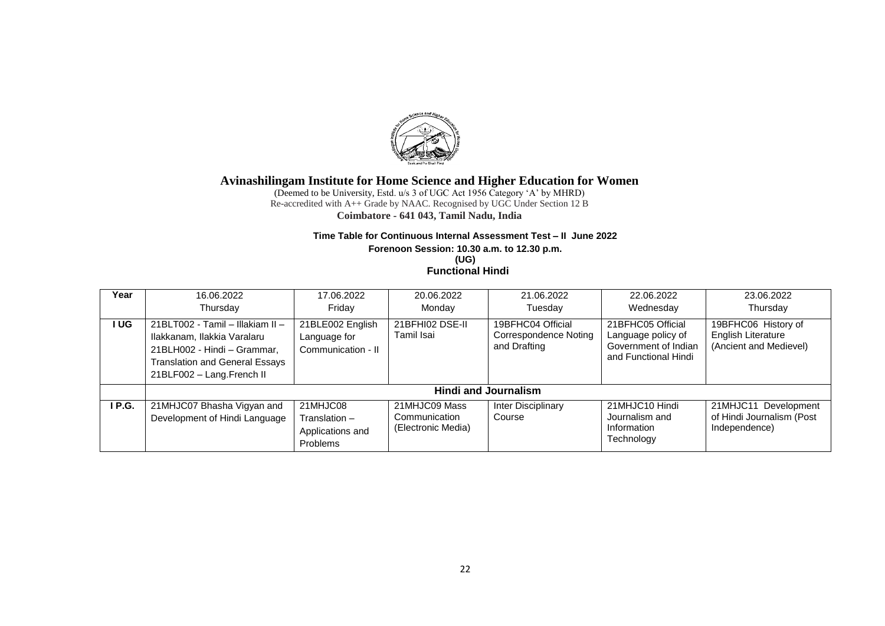

(Deemed to be University, Estd. u/s 3 of UGC Act 1956 Category 'A' by MHRD) Re-accredited with A++ Grade by NAAC. Recognised by UGC Under Section 12 B **Coimbatore - 641 043, Tamil Nadu, India**

#### **Time Table for Continuous Internal Assessment Test – II June 2022**

**Forenoon Session: 10.30 a.m. to 12.30 p.m.**

**(UG) Functional Hindi**

| Year  | 16.06.2022<br>Thursday                                                                                                                                               | 17.06.2022<br>Friday                                      | 20.06.2022<br>Monday                                 | 21.06.2022<br>Tuesday                                             | 22.06.2022<br>Wednesday                                                                 | 23.06.2022<br>Thursday                                              |
|-------|----------------------------------------------------------------------------------------------------------------------------------------------------------------------|-----------------------------------------------------------|------------------------------------------------------|-------------------------------------------------------------------|-----------------------------------------------------------------------------------------|---------------------------------------------------------------------|
| I UG  | 21BLT002 - Tamil - Illakiam II -<br>Ilakkanam, Ilakkia Varalaru<br>21BLH002 - Hindi - Grammar,<br><b>Translation and General Essays</b><br>21BLF002 - Lang.French II | 21BLE002 English<br>Language for<br>Communication - II    | 21BFHI02 DSE-II<br>Tamil Isai                        | 19BFHC04 Official<br><b>Correspondence Noting</b><br>and Drafting | 21BFHC05 Official<br>Language policy of<br>Government of Indian<br>and Functional Hindi | 19BFHC06 History of<br>English Literature<br>(Ancient and Medievel) |
|       |                                                                                                                                                                      |                                                           |                                                      | <b>Hindi and Journalism</b>                                       |                                                                                         |                                                                     |
| IP.G. | 21MHJC07 Bhasha Vigyan and<br>Development of Hindi Language                                                                                                          | 21MHJC08<br>Translation -<br>Applications and<br>Problems | 21MHJC09 Mass<br>Communication<br>(Electronic Media) | Inter Disciplinary<br>Course                                      | 21MHJC10 Hindi<br>Journalism and<br>Information<br>Technology                           | 21MHJC11 Development<br>of Hindi Journalism (Post<br>Independence)  |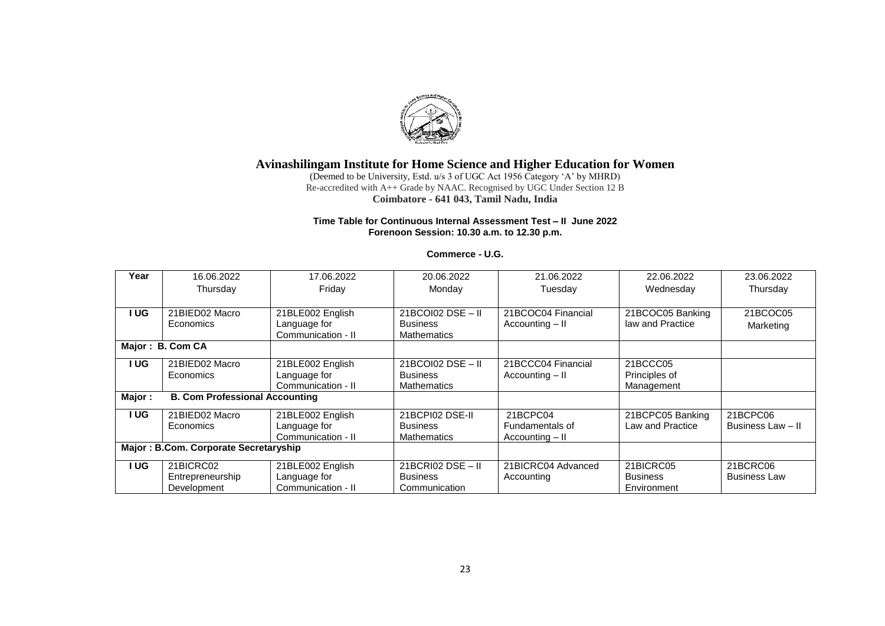

(Deemed to be University, Estd. u/s 3 of UGC Act 1956 Category 'A' by MHRD) Re-accredited with A++ Grade by NAAC. Recognised by UGC Under Section 12 B **Coimbatore - 641 043, Tamil Nadu, India**

### **Time Table for Continuous Internal Assessment Test – II June 2022 Forenoon Session: 10.30 a.m. to 12.30 p.m.**

### **Commerce - U.G.**

| Year                                  | 16.06.2022                            | 17.06.2022         | 20.06.2022          | 21.06.2022         | 22.06.2022       | 23.06.2022          |
|---------------------------------------|---------------------------------------|--------------------|---------------------|--------------------|------------------|---------------------|
|                                       | Thursday                              | Friday             | Monday              | Tuesday            | Wednesday        | Thursday            |
|                                       |                                       |                    |                     |                    |                  |                     |
| I UG                                  | 21BIED02 Macro                        | 21BLE002 English   | 21BCOI02 DSE - II   | 21BCOC04 Financial | 21BCOC05 Banking | 21BCOC05            |
|                                       | Economics                             | Language for       | <b>Business</b>     | Accounting - II    | law and Practice | Marketing           |
|                                       |                                       | Communication - II | <b>Mathematics</b>  |                    |                  |                     |
|                                       | Major: B. Com CA                      |                    |                     |                    |                  |                     |
| I UG                                  | 21BIED02 Macro                        | 21BLE002 English   | $21BCO102$ DSE - II | 21BCCC04 Financial | 21BCCC05         |                     |
|                                       | Economics                             | Language for       | <b>Business</b>     | Accounting - II    | Principles of    |                     |
|                                       |                                       | Communication - II | <b>Mathematics</b>  |                    | Management       |                     |
| Major:                                | <b>B. Com Professional Accounting</b> |                    |                     |                    |                  |                     |
| I UG                                  | 21BIED02 Macro                        | 21BLE002 English   | 21BCPI02 DSE-II     | 21BCPC04           | 21BCPC05 Banking | 21BCPC06            |
|                                       | Economics                             | Language for       | <b>Business</b>     | Fundamentals of    | Law and Practice | Business Law - II   |
|                                       |                                       | Communication - II | <b>Mathematics</b>  | Accounting - II    |                  |                     |
| Major: B.Com. Corporate Secretaryship |                                       |                    |                     |                    |                  |                     |
| I UG                                  | 21BICRC02                             | 21BLE002 English   | $21BCRI02$ DSE - II | 21BICRC04 Advanced | 21BICRC05        | 21BCRC06            |
|                                       | Entrepreneurship                      | Language for       | <b>Business</b>     | Accounting         | <b>Business</b>  | <b>Business Law</b> |
|                                       | Development                           | Communication - II | Communication       |                    | Environment      |                     |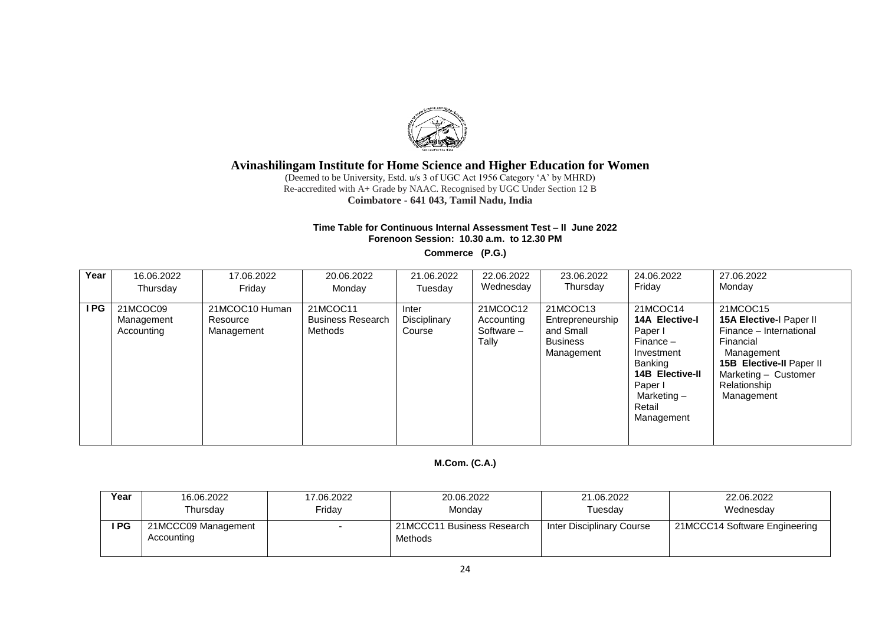

(Deemed to be University, Estd. u/s 3 of UGC Act 1956 Category 'A' by MHRD) Re-accredited with A+ Grade by NAAC. Recognised by UGC Under Section 12 B **Coimbatore - 641 043, Tamil Nadu, India**

### **Time Table for Continuous Internal Assessment Test – II June 2022 Forenoon Session: 10.30 a.m. to 12.30 PM**

**Commerce (P.G.)**

| Year | 16.06.2022                           | 17.06.2022                               | 20.06.2022                                      | 21.06.2022                      | 22.06.2022                                    | 23.06.2022                                                          | 24.06.2022                                                                                                                                                     | 27.06.2022                                                                                                                                                                  |
|------|--------------------------------------|------------------------------------------|-------------------------------------------------|---------------------------------|-----------------------------------------------|---------------------------------------------------------------------|----------------------------------------------------------------------------------------------------------------------------------------------------------------|-----------------------------------------------------------------------------------------------------------------------------------------------------------------------------|
|      | Thursday                             | Fridav                                   | Mondav                                          | Tuesday                         | Wednesday                                     | Thursday                                                            | Friday                                                                                                                                                         | Monday                                                                                                                                                                      |
| I PG | 21MCOC09<br>Management<br>Accounting | 21MCOC10 Human<br>Resource<br>Management | 21MCOC11<br><b>Business Research</b><br>Methods | Inter<br>Disciplinary<br>Course | 21MCOC12<br>Accounting<br>Software -<br>Tally | 21MCOC13<br>Entrepreneurship<br>and Small<br>Business<br>Management | 21MCOC14<br><b>14A Elective-I</b><br>Paper I<br>Finance –<br>Investment<br>Banking<br><b>14B Elective-II</b><br>Paper I<br>Marketing -<br>Retail<br>Management | 21MCOC15<br>15A Elective-I Paper II<br>Finance - International<br>Financial<br>Management<br>15B Elective-II Paper II<br>Marketing - Customer<br>Relationship<br>Management |

## **M.Com. (C.A.)**

| Year  | 16.06.2022                        | 17.06.2022 | 20.06.2022                            | 21.06.2022                | 22.06.2022                    |
|-------|-----------------------------------|------------|---------------------------------------|---------------------------|-------------------------------|
|       | Thursday                          | Fridav     | Mondav                                | Tuesdav                   | Wednesday                     |
| I PG. | 21MCCC09 Management<br>Accounting |            | 21MCCC11 Business Research<br>Methods | Inter Disciplinary Course | 21MCCC14 Software Engineering |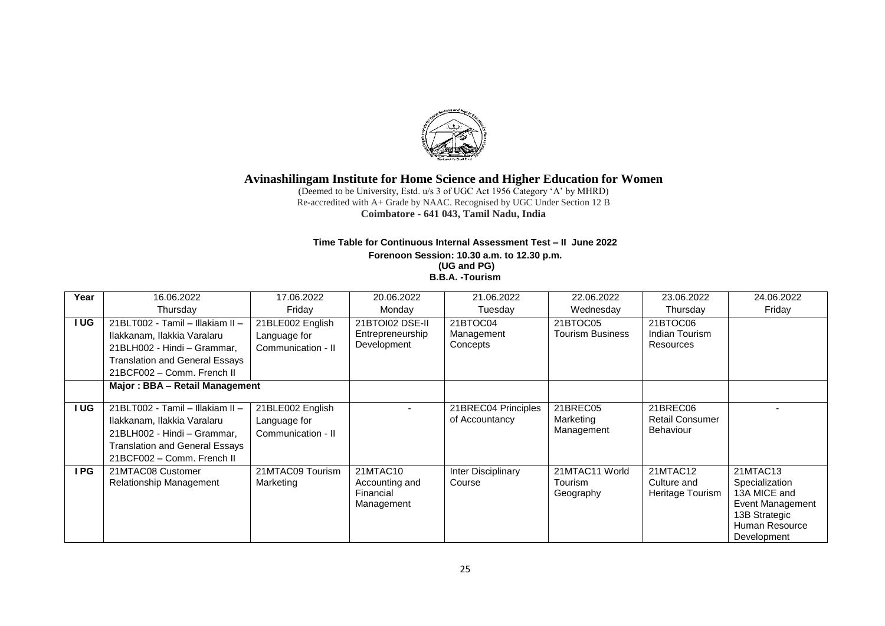

(Deemed to be University, Estd. u/s 3 of UGC Act 1956 Category 'A' by MHRD) Re-accredited with A+ Grade by NAAC. Recognised by UGC Under Section 12 B **Coimbatore - 641 043, Tamil Nadu, India**

### **Time Table for Continuous Internal Assessment Test – II June 2022 Forenoon Session: 10.30 a.m. to 12.30 p.m. (UG and PG) B.B.A. -Tourism**

| Year       | 16.06.2022                            | 17.06.2022         | 20.06.2022       | 21.06.2022          | 22.06.2022              | 23.06.2022             | 24.06.2022       |
|------------|---------------------------------------|--------------------|------------------|---------------------|-------------------------|------------------------|------------------|
|            | Thursday                              | Friday             | Monday           | Tuesday             | Wednesday               | Thursday               | Friday           |
| <b>IUG</b> | 21BLT002 - Tamil - Illakiam II -      | 21BLE002 English   | 21BTOI02 DSE-II  | 21BTOC04            | 21BTOC05                | 21BTOC06               |                  |
|            | Ilakkanam, Ilakkia Varalaru           | Language for       | Entrepreneurship | Management          | <b>Tourism Business</b> | Indian Tourism         |                  |
|            | 21BLH002 - Hindi - Grammar.           | Communication - II | Development      | Concepts            |                         | Resources              |                  |
|            | <b>Translation and General Essays</b> |                    |                  |                     |                         |                        |                  |
|            | 21BCF002 - Comm. French II            |                    |                  |                     |                         |                        |                  |
|            | Major: BBA - Retail Management        |                    |                  |                     |                         |                        |                  |
|            |                                       |                    |                  |                     |                         |                        |                  |
| <b>IUG</b> | 21BLT002 - Tamil - Illakiam II -      | 21BLE002 English   |                  | 21BREC04 Principles | 21BREC05                | 21BREC06               |                  |
|            | Ilakkanam, Ilakkia Varalaru           | Language for       |                  | of Accountancy      | Marketing               | <b>Retail Consumer</b> |                  |
|            | 21BLH002 - Hindi - Grammar,           | Communication - II |                  |                     | Management              | <b>Behaviour</b>       |                  |
|            | <b>Translation and General Essays</b> |                    |                  |                     |                         |                        |                  |
|            | 21BCF002 - Comm. French II            |                    |                  |                     |                         |                        |                  |
| I PG       | 21MTAC08 Customer                     | 21MTAC09 Tourism   | 21MTAC10         | Inter Disciplinary  | 21MTAC11 World          | 21MTAC12               | 21MTAC13         |
|            | Relationship Management               | Marketing          | Accounting and   | Course              | <b>Tourism</b>          | Culture and            | Specialization   |
|            |                                       |                    | Financial        |                     | Geography               | Heritage Tourism       | 13A MICE and     |
|            |                                       |                    | Management       |                     |                         |                        | Event Management |
|            |                                       |                    |                  |                     |                         |                        | 13B Strategic    |
|            |                                       |                    |                  |                     |                         |                        | Human Resource   |
|            |                                       |                    |                  |                     |                         |                        | Development      |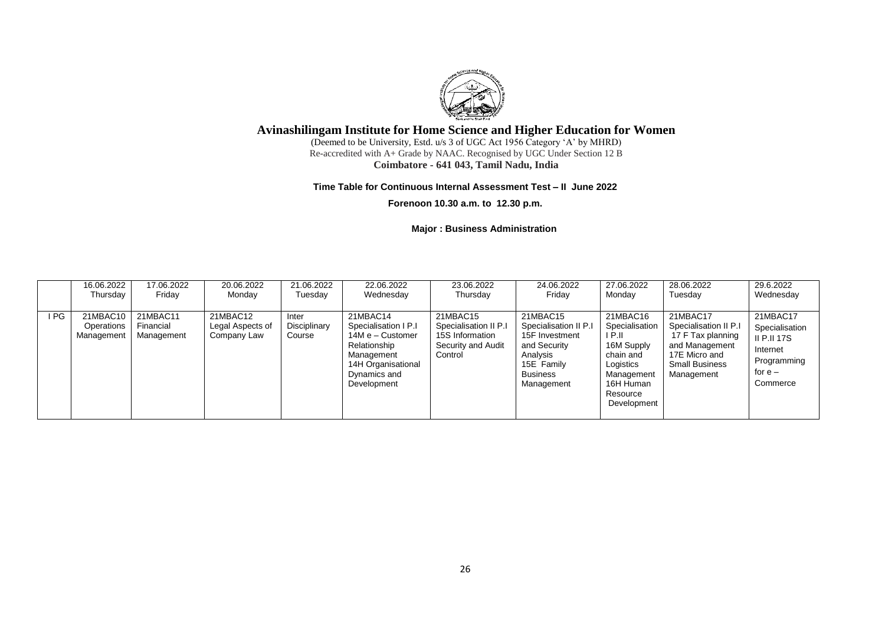

(Deemed to be University, Estd. u/s 3 of UGC Act 1956 Category 'A' by MHRD) Re-accredited with A+ Grade by NAAC. Recognised by UGC Under Section 12 B **Coimbatore - 641 043, Tamil Nadu, India**

#### **Time Table for Continuous Internal Assessment Test – II June 2022**

**Forenoon 10.30 a.m. to 12.30 p.m.**

### **Major : Business Administration**

|      | 16.06.2022                           | 17.06.2022                          | 20.06.2022                                  | 21.06.2022                      | 22.06.2022                                                                                                                              | 23.06.2022                                                                            | 24.06.2022                                                                                                                     | 27.06.2022                                                                                                                         | 28.06.2022                                                                                                                       | 29.6.2022                                                                                            |
|------|--------------------------------------|-------------------------------------|---------------------------------------------|---------------------------------|-----------------------------------------------------------------------------------------------------------------------------------------|---------------------------------------------------------------------------------------|--------------------------------------------------------------------------------------------------------------------------------|------------------------------------------------------------------------------------------------------------------------------------|----------------------------------------------------------------------------------------------------------------------------------|------------------------------------------------------------------------------------------------------|
|      | Thursday                             | Friday                              | Monday                                      | Tuesdav                         | Wednesday                                                                                                                               | Thursday                                                                              | Friday                                                                                                                         | Monday                                                                                                                             | Tuesdav                                                                                                                          | Wednesday                                                                                            |
| I PG | 21MBAC10<br>Operations<br>Management | 21MBAC11<br>Financial<br>Management | 21MBAC12<br>Legal Aspects of<br>Company Law | Inter<br>Disciplinary<br>Course | 21MBAC14<br>Specialisation I P.I<br>14M e - Customer<br>Relationship<br>Management<br>14H Organisational<br>Dynamics and<br>Development | 21MBAC15<br>Specialisation II P.I<br>15S Information<br>Security and Audit<br>Control | 21MBAC15<br>Specialisation II P.I<br>15F Investment<br>and Security<br>Analysis<br>15E Family<br><b>Business</b><br>Management | 21MBAC16<br>Specialisation<br>I P.II<br>16M Supply<br>chain and<br>Logistics<br>Management<br>16H Human<br>Resource<br>Development | 21MBAC17<br>Specialisation II P.I<br>17 F Tax planning<br>and Management<br>17E Micro and<br><b>Small Business</b><br>Management | 21MBAC17<br>Specialisation<br><b>II P.II 17S</b><br>Internet<br>Programming<br>for $e -$<br>Commerce |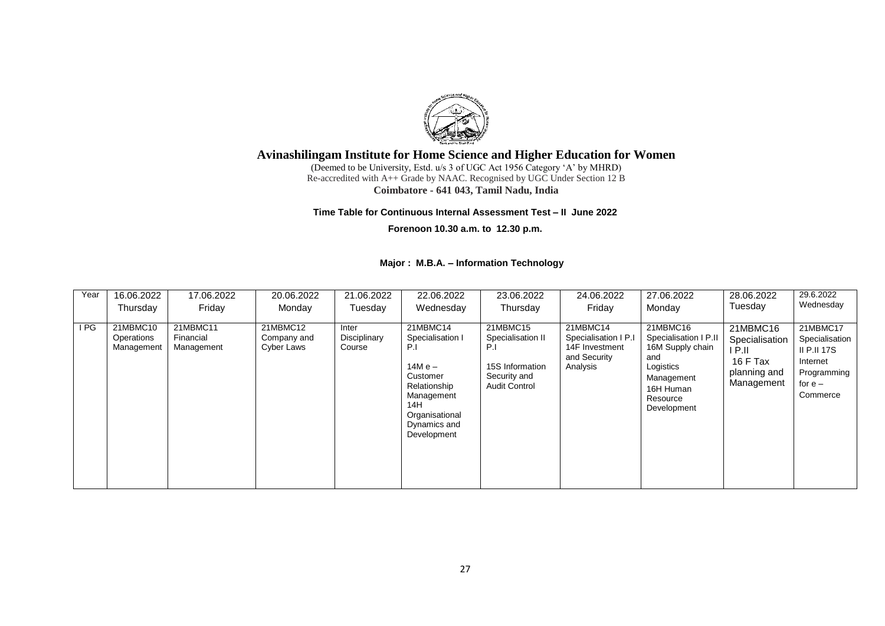

(Deemed to be University, Estd. u/s 3 of UGC Act 1956 Category 'A' by MHRD) Re-accredited with A++ Grade by NAAC. Recognised by UGC Under Section 12 B **Coimbatore - 641 043, Tamil Nadu, India**

#### **Time Table for Continuous Internal Assessment Test – II June 2022**

**Forenoon 10.30 a.m. to 12.30 p.m.**

### **Major : M.B.A. – Information Technology**

| Year | 16.06.2022                           | 17.06.2022                          | 20.06.2022                            | 21.06.2022                      | 22.06.2022                                                                                                                                         | 23.06.2022                                                                                      | 24.06.2022                                                                     | 27.06.2022                                                                                                                      | 28.06.2022                                                                      | 29.6.2022                                                                                     |
|------|--------------------------------------|-------------------------------------|---------------------------------------|---------------------------------|----------------------------------------------------------------------------------------------------------------------------------------------------|-------------------------------------------------------------------------------------------------|--------------------------------------------------------------------------------|---------------------------------------------------------------------------------------------------------------------------------|---------------------------------------------------------------------------------|-----------------------------------------------------------------------------------------------|
|      | Thursday                             | Friday                              | Monday                                | Tuesday                         | Wednesday                                                                                                                                          | Thursday                                                                                        | Friday                                                                         | Monday                                                                                                                          | Tuesday                                                                         | Wednesday                                                                                     |
| I PG | 21MBMC10<br>Operations<br>Management | 21MBMC11<br>Financial<br>Management | 21MBMC12<br>Company and<br>Cyber Laws | Inter<br>Disciplinary<br>Course | 21MBMC14<br>Specialisation I<br>P.I<br>$14M e -$<br>Customer<br>Relationship<br>Management<br>14H<br>Organisational<br>Dynamics and<br>Development | 21MBMC15<br>Specialisation II<br>P.I<br>15S Information<br>Security and<br><b>Audit Control</b> | 21MBMC14<br>Specialisation I P.I<br>14F Investment<br>and Security<br>Analysis | 21MBMC16<br>Specialisation I P.II<br>16M Supply chain<br>and<br>Logistics<br>Management<br>16H Human<br>Resource<br>Development | 21MBMC16<br>Specialisation<br>I P.II.<br>16 F Tax<br>planning and<br>Management | 21MBMC17<br>Specialisation<br>II P.II 17S<br>Internet<br>Programming<br>for $e -$<br>Commerce |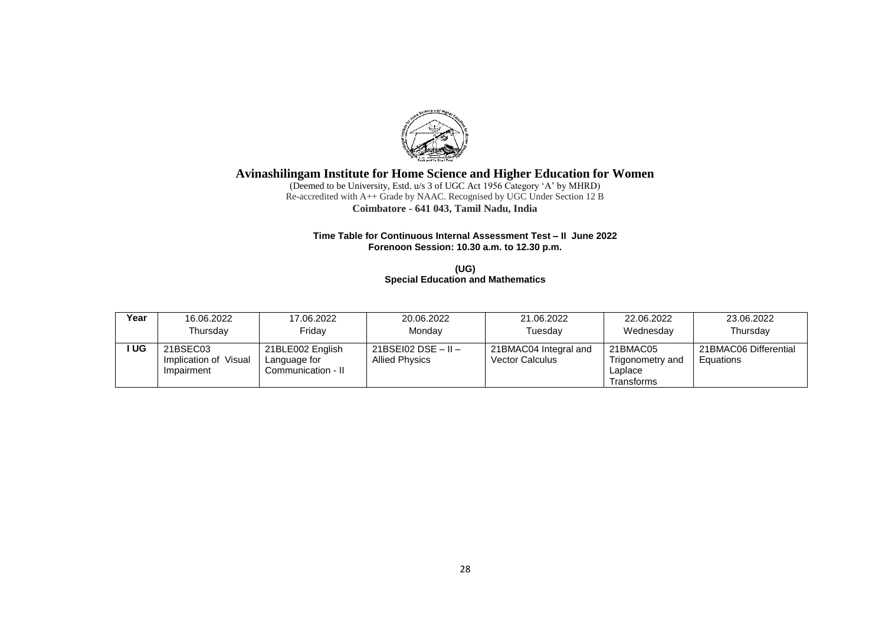

(Deemed to be University, Estd. u/s 3 of UGC Act 1956 Category 'A' by MHRD) Re-accredited with A++ Grade by NAAC. Recognised by UGC Under Section 12 B **Coimbatore - 641 043, Tamil Nadu, India**

#### **Time Table for Continuous Internal Assessment Test – II June 2022 Forenoon Session: 10.30 a.m. to 12.30 p.m.**

**(UG) Special Education and Mathematics** 

| Year | 16.06.2022                                      | 17.06.2022                                             | 20.06.2022                                         | 21.06.2022                                      | 22.06.2022                                            | 23.06.2022                         |
|------|-------------------------------------------------|--------------------------------------------------------|----------------------------------------------------|-------------------------------------------------|-------------------------------------------------------|------------------------------------|
|      | Thursday                                        | Fridav                                                 | Monday                                             | Tuesday                                         | Wednesday                                             | Thursdav                           |
| UG   | 21BSEC03<br>Implication of Visual<br>Impairment | 21BLE002 English<br>Language for<br>Communication - II | $21BSE102$ DSE $-$ II $-$<br><b>Allied Physics</b> | 21BMAC04 Integral and<br><b>Vector Calculus</b> | 21BMAC05<br>Trigonometry and<br>Laplace<br>Transforms | 21BMAC06 Differential<br>Equations |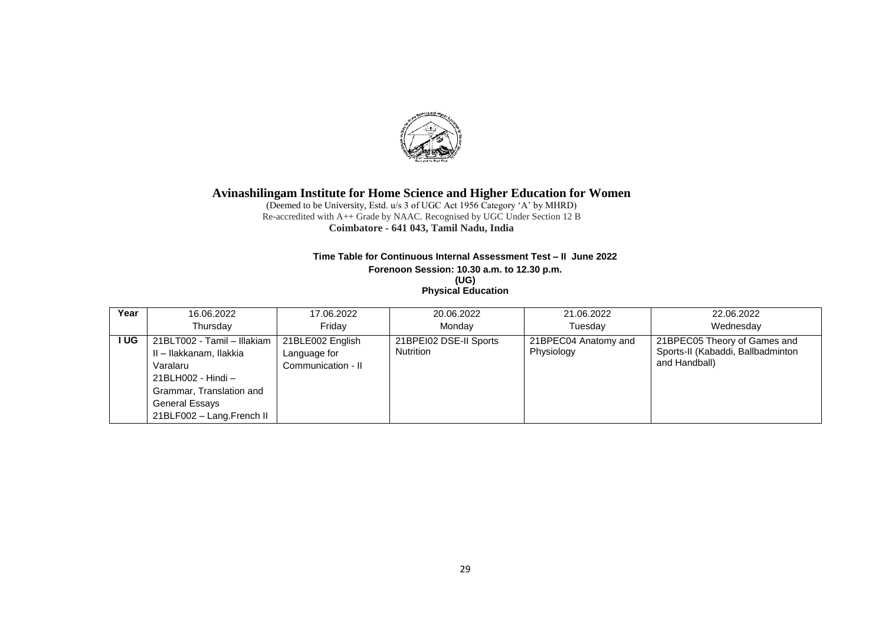

(Deemed to be University, Estd. u/s 3 of UGC Act 1956 Category 'A' by MHRD) Re-accredited with A++ Grade by NAAC. Recognised by UGC Under Section 12 B **Coimbatore - 641 043, Tamil Nadu, India**

### **Time Table for Continuous Internal Assessment Test – II June 2022**

**Forenoon Session: 10.30 a.m. to 12.30 p.m. (UG)**

| <b>Physical Education</b> |  |  |
|---------------------------|--|--|
|                           |  |  |

| Year  | 16.06.2022                                                                                                                                                            | 17.06.2022                                             | 20.06.2022                                 | 21.06.2022                         | 22.06.2022                                                                         |
|-------|-----------------------------------------------------------------------------------------------------------------------------------------------------------------------|--------------------------------------------------------|--------------------------------------------|------------------------------------|------------------------------------------------------------------------------------|
|       | Thursday                                                                                                                                                              | Fridav                                                 | Mondav                                     | Tuesdav                            | Wednesday                                                                          |
| I UG. | 21BLT002 - Tamil - Illakiam  <br>II - Ilakkanam, Ilakkia<br>Varalaru<br>21BLH002 - Hindi –<br>Grammar, Translation and<br>General Essays<br>21BLF002 - Lang.French II | 21BLE002 English<br>Language for<br>Communication - II | 21BPEI02 DSE-II Sports<br><b>Nutrition</b> | 21BPEC04 Anatomy and<br>Physiology | 21BPEC05 Theory of Games and<br>Sports-II (Kabaddi, Ballbadminton<br>and Handball) |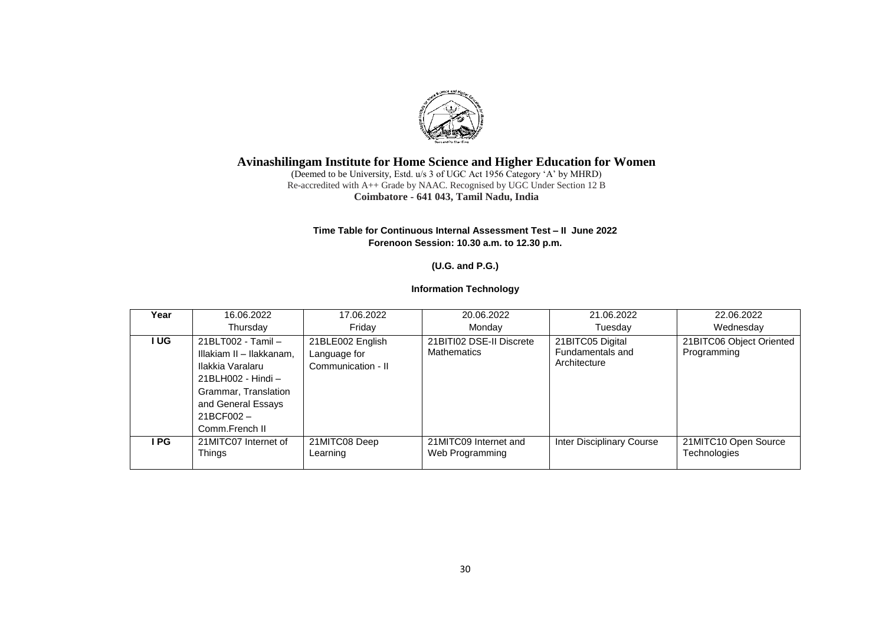

(Deemed to be University, Estd. u/s 3 of UGC Act 1956 Category 'A' by MHRD) Re-accredited with A++ Grade by NAAC. Recognised by UGC Under Section 12 B **Coimbatore - 641 043, Tamil Nadu, India**

### **Time Table for Continuous Internal Assessment Test – II June 2022 Forenoon Session: 10.30 a.m. to 12.30 p.m.**

## **(U.G. and P.G.)**

## **Information Technology**

| Year | 16.06.2022                                                                                                                                                            | 17.06.2022                                             | 20.06.2022                                     | 21.06.2022                                           | 22.06.2022                              |
|------|-----------------------------------------------------------------------------------------------------------------------------------------------------------------------|--------------------------------------------------------|------------------------------------------------|------------------------------------------------------|-----------------------------------------|
|      | Thursday                                                                                                                                                              | Fridav                                                 | Monday                                         | Tuesday                                              | Wednesday                               |
| I UG | 21BLT002 - Tamil -<br>Illakiam II - Ilakkanam.<br>Ilakkia Varalaru<br>21BLH002 - Hindi -<br>Grammar, Translation<br>and General Essays<br>21BCF002-<br>Comm.French II | 21BLE002 English<br>Language for<br>Communication - II | 21BITI02 DSE-II Discrete<br><b>Mathematics</b> | 21BITC05 Digital<br>Fundamentals and<br>Architecture | 21BITC06 Object Oriented<br>Programming |
| PG   | 21MITC07 Internet of<br><b>Things</b>                                                                                                                                 | 21MITC08 Deep<br>Learning                              | 21MITC09 Internet and<br>Web Programming       | Inter Disciplinary Course                            | 21MITC10 Open Source<br>Technologies    |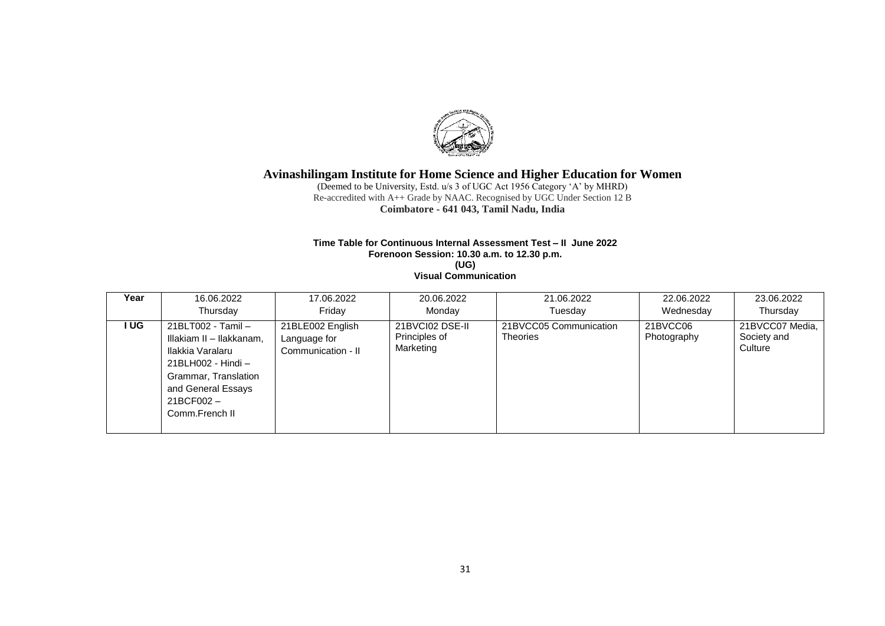

(Deemed to be University, Estd. u/s 3 of UGC Act 1956 Category 'A' by MHRD) Re-accredited with A++ Grade by NAAC. Recognised by UGC Under Section 12 B **Coimbatore - 641 043, Tamil Nadu, India**

#### **Time Table for Continuous Internal Assessment Test – II June 2022 Forenoon Session: 10.30 a.m. to 12.30 p.m. (UG) Visual Communication**

| Year | 16.06.2022                                                                                                                                                            | 17.06.2022                                             | 20.06.2022                                    | 21.06.2022                                | 22.06.2022              | 23.06.2022                                |
|------|-----------------------------------------------------------------------------------------------------------------------------------------------------------------------|--------------------------------------------------------|-----------------------------------------------|-------------------------------------------|-------------------------|-------------------------------------------|
|      | Thursday                                                                                                                                                              | Fridav                                                 | Monday                                        | Tuesdav                                   | Wednesday               | Thursday                                  |
| I UG | 21BLT002 - Tamil -<br>Illakiam II - Ilakkanam,<br>Ilakkia Varalaru<br>21BLH002 - Hindi -<br>Grammar, Translation<br>and General Essays<br>21BCF002-<br>Comm.French II | 21BLE002 English<br>Language for<br>Communication - II | 21BVCI02 DSE-II<br>Principles of<br>Marketing | 21BVCC05 Communication<br><b>Theories</b> | 21BVCC06<br>Photography | 21BVCC07 Media,<br>Society and<br>Culture |